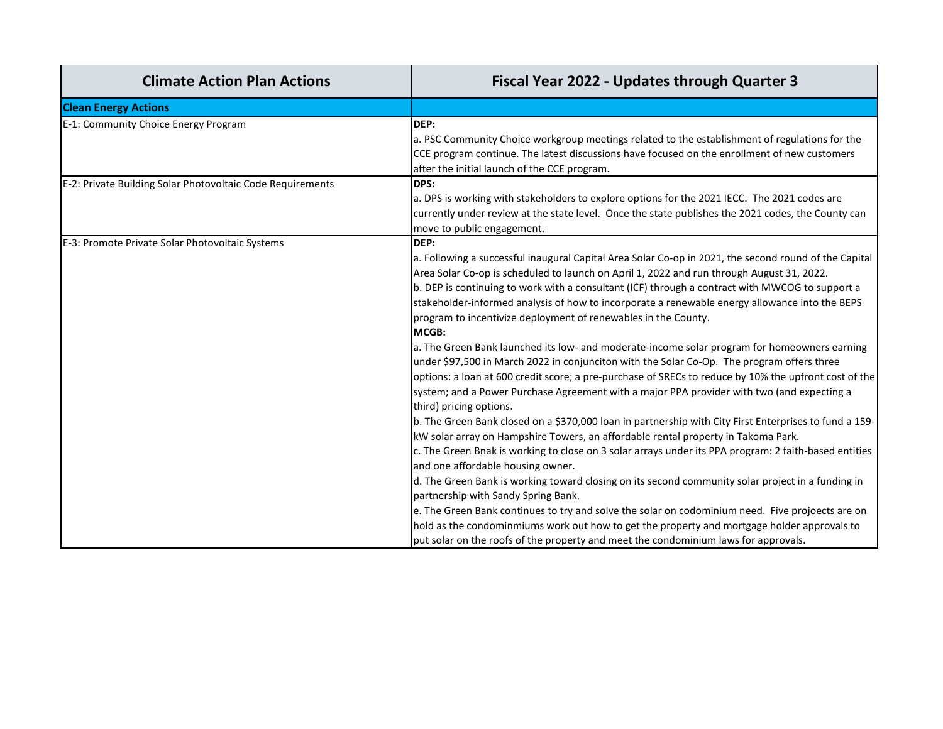| <b>Climate Action Plan Actions</b>                         | <b>Fiscal Year 2022 - Updates through Quarter 3</b>                                                                                                                                                                                                                                                                                                                                                                                                                                                                                                                                                                                                                                      |
|------------------------------------------------------------|------------------------------------------------------------------------------------------------------------------------------------------------------------------------------------------------------------------------------------------------------------------------------------------------------------------------------------------------------------------------------------------------------------------------------------------------------------------------------------------------------------------------------------------------------------------------------------------------------------------------------------------------------------------------------------------|
| <b>Clean Energy Actions</b>                                |                                                                                                                                                                                                                                                                                                                                                                                                                                                                                                                                                                                                                                                                                          |
| E-1: Community Choice Energy Program                       | DEP:<br>a. PSC Community Choice workgroup meetings related to the establishment of regulations for the<br>CCE program continue. The latest discussions have focused on the enrollment of new customers<br>after the initial launch of the CCE program.                                                                                                                                                                                                                                                                                                                                                                                                                                   |
| E-2: Private Building Solar Photovoltaic Code Requirements | DPS:<br>a. DPS is working with stakeholders to explore options for the 2021 IECC. The 2021 codes are<br>currently under review at the state level. Once the state publishes the 2021 codes, the County can<br>move to public engagement.                                                                                                                                                                                                                                                                                                                                                                                                                                                 |
| E-3: Promote Private Solar Photovoltaic Systems            | DEP:<br>a. Following a successful inaugural Capital Area Solar Co-op in 2021, the second round of the Capital<br>Area Solar Co-op is scheduled to launch on April 1, 2022 and run through August 31, 2022.<br>b. DEP is continuing to work with a consultant (ICF) through a contract with MWCOG to support a<br>stakeholder-informed analysis of how to incorporate a renewable energy allowance into the BEPS<br>program to incentivize deployment of renewables in the County.<br>MCGB:                                                                                                                                                                                               |
|                                                            | a. The Green Bank launched its low- and moderate-income solar program for homeowners earning<br>under \$97,500 in March 2022 in conjunciton with the Solar Co-Op. The program offers three<br>options: a loan at 600 credit score; a pre-purchase of SRECs to reduce by 10% the upfront cost of the<br>system; and a Power Purchase Agreement with a major PPA provider with two (and expecting a<br>third) pricing options.                                                                                                                                                                                                                                                             |
|                                                            | b. The Green Bank closed on a \$370,000 loan in partnership with City First Enterprises to fund a 159-<br>kW solar array on Hampshire Towers, an affordable rental property in Takoma Park.<br>c. The Green Bnak is working to close on 3 solar arrays under its PPA program: 2 faith-based entities<br>and one affordable housing owner.<br>d. The Green Bank is working toward closing on its second community solar project in a funding in<br>partnership with Sandy Spring Bank.<br>e. The Green Bank continues to try and solve the solar on codominium need. Five projoects are on<br>hold as the condominmiums work out how to get the property and mortgage holder approvals to |
|                                                            | put solar on the roofs of the property and meet the condominium laws for approvals.                                                                                                                                                                                                                                                                                                                                                                                                                                                                                                                                                                                                      |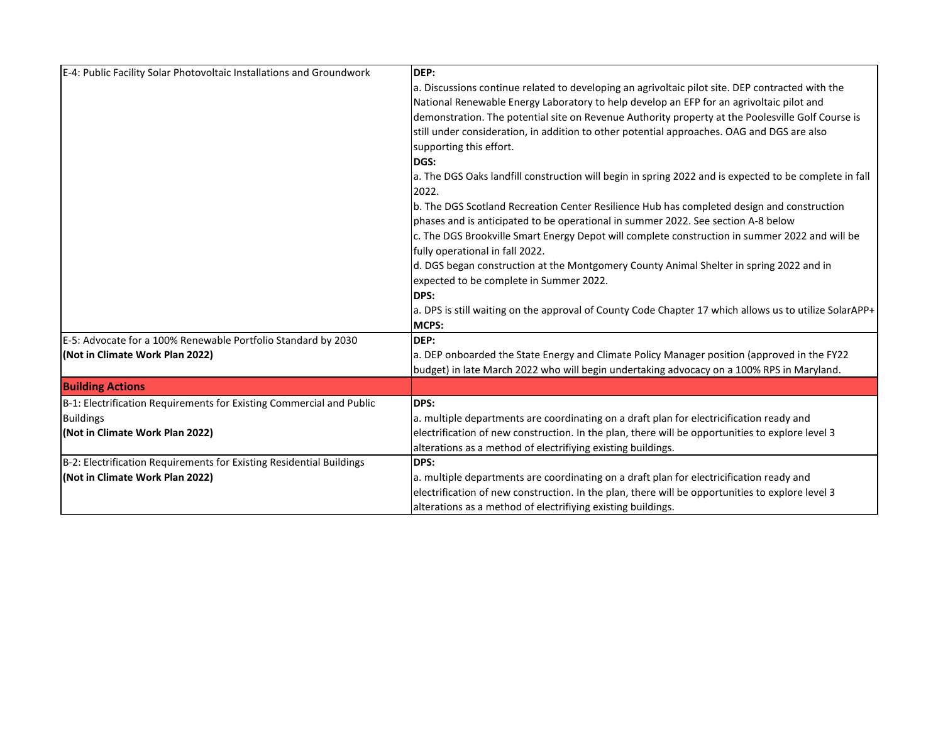| E-4: Public Facility Solar Photovoltaic Installations and Groundwork | DEP:                                                                                                            |
|----------------------------------------------------------------------|-----------------------------------------------------------------------------------------------------------------|
|                                                                      | a. Discussions continue related to developing an agrivoltaic pilot site. DEP contracted with the                |
|                                                                      | National Renewable Energy Laboratory to help develop an EFP for an agrivoltaic pilot and                        |
|                                                                      | demonstration. The potential site on Revenue Authority property at the Poolesville Golf Course is               |
|                                                                      | still under consideration, in addition to other potential approaches. OAG and DGS are also                      |
|                                                                      | supporting this effort.                                                                                         |
|                                                                      | DGS:                                                                                                            |
|                                                                      | a. The DGS Oaks landfill construction will begin in spring 2022 and is expected to be complete in fall<br>2022. |
|                                                                      | b. The DGS Scotland Recreation Center Resilience Hub has completed design and construction                      |
|                                                                      | phases and is anticipated to be operational in summer 2022. See section A-8 below                               |
|                                                                      | c. The DGS Brookville Smart Energy Depot will complete construction in summer 2022 and will be                  |
|                                                                      | fully operational in fall 2022.                                                                                 |
|                                                                      | d. DGS began construction at the Montgomery County Animal Shelter in spring 2022 and in                         |
|                                                                      | expected to be complete in Summer 2022.                                                                         |
|                                                                      | <b>DPS:</b>                                                                                                     |
|                                                                      | a. DPS is still waiting on the approval of County Code Chapter 17 which allows us to utilize SolarAPP+          |
|                                                                      | <b>MCPS:</b>                                                                                                    |
| E-5: Advocate for a 100% Renewable Portfolio Standard by 2030        | DEP:                                                                                                            |
| (Not in Climate Work Plan 2022)                                      | a. DEP onboarded the State Energy and Climate Policy Manager position (approved in the FY22                     |
|                                                                      | budget) in late March 2022 who will begin undertaking advocacy on a 100% RPS in Maryland.                       |
| <b>Building Actions</b>                                              |                                                                                                                 |
| B-1: Electrification Requirements for Existing Commercial and Public | <b>DPS:</b>                                                                                                     |
| <b>Buildings</b>                                                     | a. multiple departments are coordinating on a draft plan for electricification ready and                        |
| (Not in Climate Work Plan 2022)                                      | electrification of new construction. In the plan, there will be opportunities to explore level 3                |
|                                                                      | alterations as a method of electrifiying existing buildings.                                                    |
| B-2: Electrification Requirements for Existing Residential Buildings | DPS:                                                                                                            |
| (Not in Climate Work Plan 2022)                                      | a. multiple departments are coordinating on a draft plan for electricification ready and                        |
|                                                                      | electrification of new construction. In the plan, there will be opportunities to explore level 3                |
|                                                                      | alterations as a method of electrifiying existing buildings.                                                    |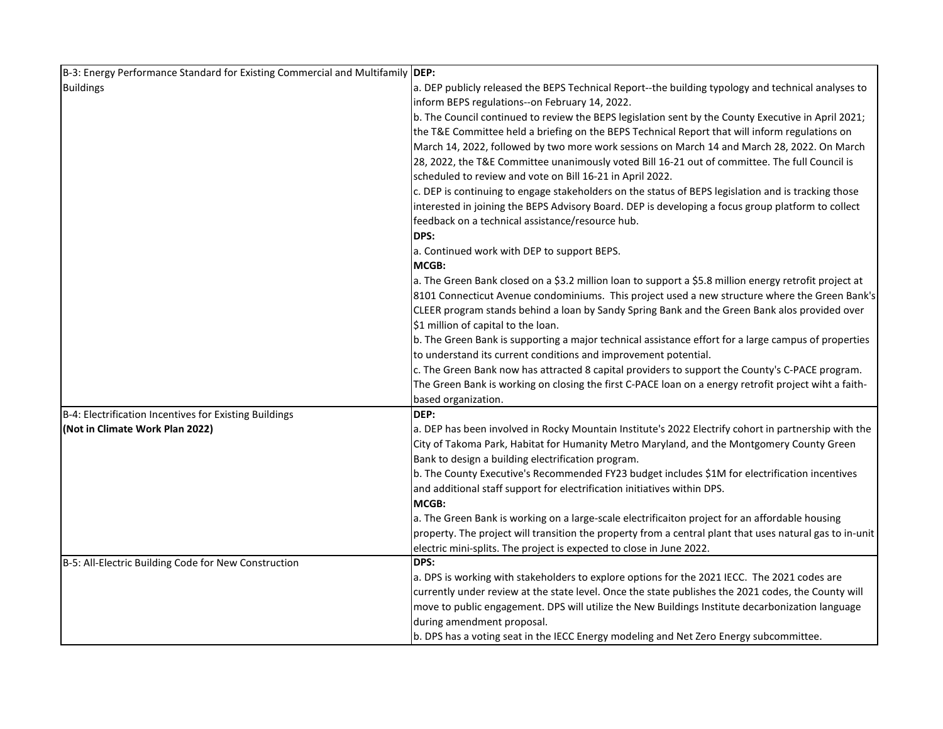| B-3: Energy Performance Standard for Existing Commercial and Multifamily DEP: |                                                                                                          |
|-------------------------------------------------------------------------------|----------------------------------------------------------------------------------------------------------|
| <b>Buildings</b>                                                              | a. DEP publicly released the BEPS Technical Report--the building typology and technical analyses to      |
|                                                                               | inform BEPS regulations--on February 14, 2022.                                                           |
|                                                                               | b. The Council continued to review the BEPS legislation sent by the County Executive in April 2021;      |
|                                                                               | the T&E Committee held a briefing on the BEPS Technical Report that will inform regulations on           |
|                                                                               | March 14, 2022, followed by two more work sessions on March 14 and March 28, 2022. On March              |
|                                                                               | 28, 2022, the T&E Committee unanimously voted Bill 16-21 out of committee. The full Council is           |
|                                                                               | scheduled to review and vote on Bill 16-21 in April 2022.                                                |
|                                                                               | c. DEP is continuing to engage stakeholders on the status of BEPS legislation and is tracking those      |
|                                                                               | interested in joining the BEPS Advisory Board. DEP is developing a focus group platform to collect       |
|                                                                               | feedback on a technical assistance/resource hub.                                                         |
|                                                                               | DPS:                                                                                                     |
|                                                                               | a. Continued work with DEP to support BEPS.                                                              |
|                                                                               | MCGB:                                                                                                    |
|                                                                               | a. The Green Bank closed on a \$3.2 million loan to support a \$5.8 million energy retrofit project at   |
|                                                                               | 8101 Connecticut Avenue condominiums. This project used a new structure where the Green Bank's           |
|                                                                               | CLEER program stands behind a loan by Sandy Spring Bank and the Green Bank alos provided over            |
|                                                                               | \$1 million of capital to the loan.                                                                      |
|                                                                               | b. The Green Bank is supporting a major technical assistance effort for a large campus of properties     |
|                                                                               | to understand its current conditions and improvement potential.                                          |
|                                                                               | c. The Green Bank now has attracted 8 capital providers to support the County's C-PACE program.          |
|                                                                               | The Green Bank is working on closing the first C-PACE loan on a energy retrofit project wiht a faith-    |
|                                                                               | based organization.                                                                                      |
| B-4: Electrification Incentives for Existing Buildings                        | DEP:                                                                                                     |
| (Not in Climate Work Plan 2022)                                               | a. DEP has been involved in Rocky Mountain Institute's 2022 Electrify cohort in partnership with the     |
|                                                                               | City of Takoma Park, Habitat for Humanity Metro Maryland, and the Montgomery County Green                |
|                                                                               | Bank to design a building electrification program.                                                       |
|                                                                               | b. The County Executive's Recommended FY23 budget includes \$1M for electrification incentives           |
|                                                                               | and additional staff support for electrification initiatives within DPS.                                 |
|                                                                               | MCGB:                                                                                                    |
|                                                                               | a. The Green Bank is working on a large-scale electrificaiton project for an affordable housing          |
|                                                                               | property. The project will transition the property from a central plant that uses natural gas to in-unit |
|                                                                               | electric mini-splits. The project is expected to close in June 2022.                                     |
| B-5: All-Electric Building Code for New Construction                          | DPS:                                                                                                     |
|                                                                               | a. DPS is working with stakeholders to explore options for the 2021 IECC. The 2021 codes are             |
|                                                                               | currently under review at the state level. Once the state publishes the 2021 codes, the County will      |
|                                                                               | move to public engagement. DPS will utilize the New Buildings Institute decarbonization language         |
|                                                                               | during amendment proposal.                                                                               |
|                                                                               | b. DPS has a voting seat in the IECC Energy modeling and Net Zero Energy subcommittee.                   |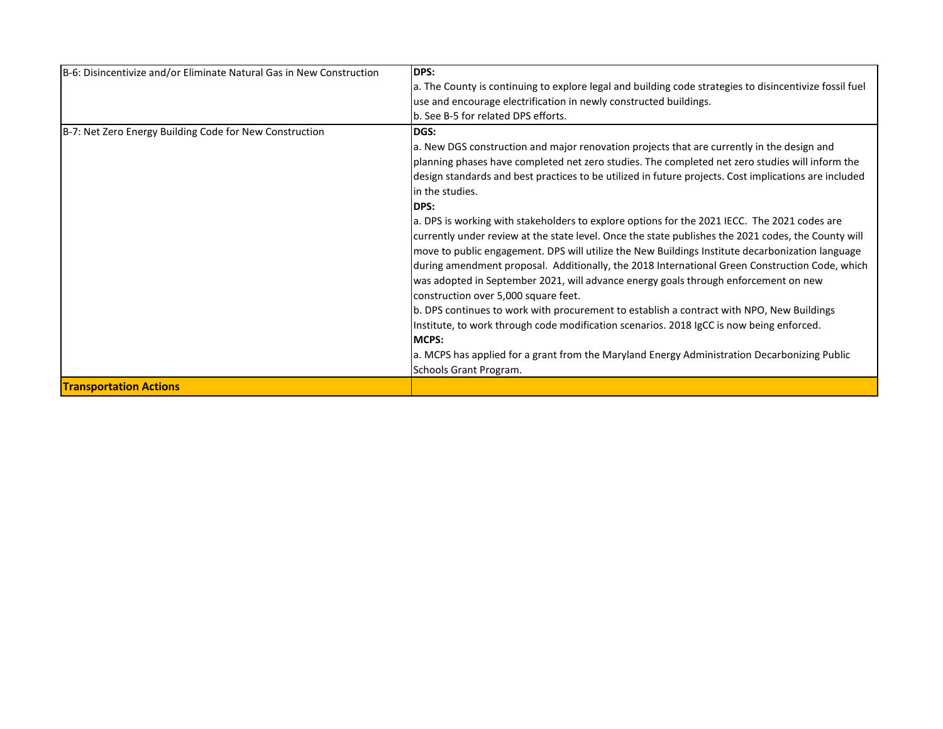| B-6: Disincentivize and/or Eliminate Natural Gas in New Construction | DPS:                                                                                                    |
|----------------------------------------------------------------------|---------------------------------------------------------------------------------------------------------|
|                                                                      | a. The County is continuing to explore legal and building code strategies to disincentivize fossil fuel |
|                                                                      | use and encourage electrification in newly constructed buildings.                                       |
|                                                                      | b. See B-5 for related DPS efforts.                                                                     |
| B-7: Net Zero Energy Building Code for New Construction              | <b>DGS:</b>                                                                                             |
|                                                                      | a. New DGS construction and major renovation projects that are currently in the design and              |
|                                                                      | planning phases have completed net zero studies. The completed net zero studies will inform the         |
|                                                                      | design standards and best practices to be utilized in future projects. Cost implications are included   |
|                                                                      | in the studies.                                                                                         |
|                                                                      | <b>DPS:</b>                                                                                             |
|                                                                      | a. DPS is working with stakeholders to explore options for the 2021 IECC. The 2021 codes are            |
|                                                                      | currently under review at the state level. Once the state publishes the 2021 codes, the County will     |
|                                                                      | move to public engagement. DPS will utilize the New Buildings Institute decarbonization language        |
|                                                                      | during amendment proposal. Additionally, the 2018 International Green Construction Code, which          |
|                                                                      | was adopted in September 2021, will advance energy goals through enforcement on new                     |
|                                                                      | construction over 5,000 square feet.                                                                    |
|                                                                      | b. DPS continues to work with procurement to establish a contract with NPO, New Buildings               |
|                                                                      | Institute, to work through code modification scenarios. 2018 IgCC is now being enforced.                |
|                                                                      | <b>MCPS:</b>                                                                                            |
|                                                                      | a. MCPS has applied for a grant from the Maryland Energy Administration Decarbonizing Public            |
|                                                                      | Schools Grant Program.                                                                                  |
| <b>Transportation Actions</b>                                        |                                                                                                         |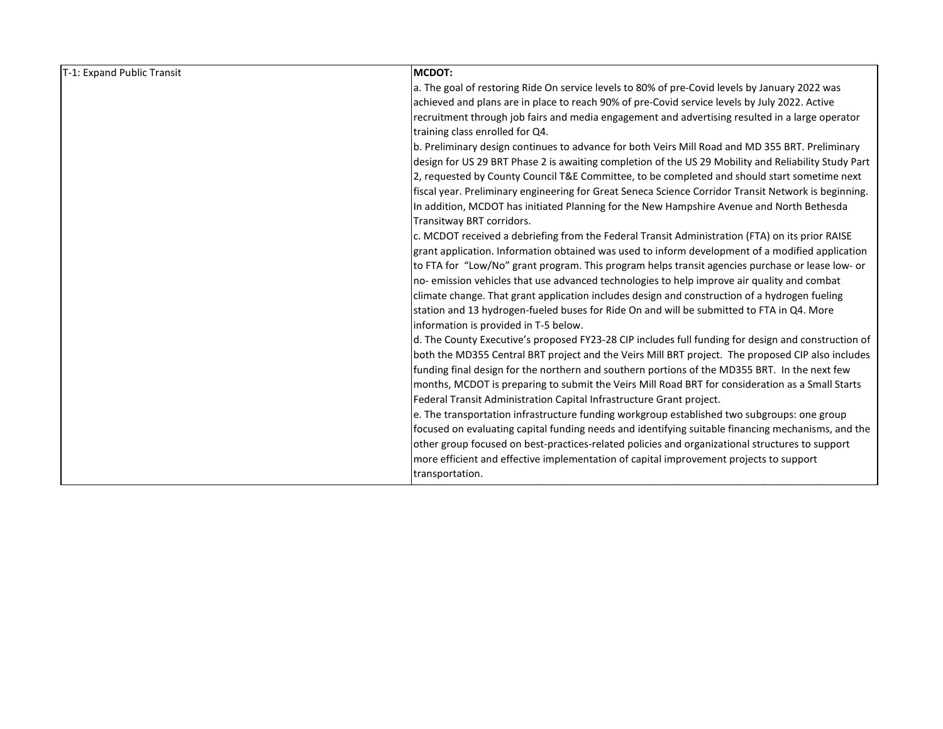| a. The goal of restoring Ride On service levels to 80% of pre-Covid levels by January 2022 was<br>achieved and plans are in place to reach 90% of pre-Covid service levels by July 2022. Active<br>recruitment through job fairs and media engagement and advertising resulted in a large operator<br>training class enrolled for Q4.<br>b. Preliminary design continues to advance for both Veirs Mill Road and MD 355 BRT. Preliminary<br>design for US 29 BRT Phase 2 is awaiting completion of the US 29 Mobility and Reliability Study Part<br>2, requested by County Council T&E Committee, to be completed and should start sometime next<br>fiscal year. Preliminary engineering for Great Seneca Science Corridor Transit Network is beginning.<br>In addition, MCDOT has initiated Planning for the New Hampshire Avenue and North Bethesda<br>Transitway BRT corridors.<br>c. MCDOT received a debriefing from the Federal Transit Administration (FTA) on its prior RAISE<br>grant application. Information obtained was used to inform development of a modified application<br>to FTA for "Low/No" grant program. This program helps transit agencies purchase or lease low- or<br>no-emission vehicles that use advanced technologies to help improve air quality and combat<br>climate change. That grant application includes design and construction of a hydrogen fueling<br>station and 13 hydrogen-fueled buses for Ride On and will be submitted to FTA in Q4. More<br>information is provided in T-5 below.<br>d. The County Executive's proposed FY23-28 CIP includes full funding for design and construction of<br>both the MD355 Central BRT project and the Veirs Mill BRT project. The proposed CIP also includes<br>funding final design for the northern and southern portions of the MD355 BRT. In the next few<br>months, MCDOT is preparing to submit the Veirs Mill Road BRT for consideration as a Small Starts<br>Federal Transit Administration Capital Infrastructure Grant project.<br>e. The transportation infrastructure funding workgroup established two subgroups: one group |  |
|----------------------------------------------------------------------------------------------------------------------------------------------------------------------------------------------------------------------------------------------------------------------------------------------------------------------------------------------------------------------------------------------------------------------------------------------------------------------------------------------------------------------------------------------------------------------------------------------------------------------------------------------------------------------------------------------------------------------------------------------------------------------------------------------------------------------------------------------------------------------------------------------------------------------------------------------------------------------------------------------------------------------------------------------------------------------------------------------------------------------------------------------------------------------------------------------------------------------------------------------------------------------------------------------------------------------------------------------------------------------------------------------------------------------------------------------------------------------------------------------------------------------------------------------------------------------------------------------------------------------------------------------------------------------------------------------------------------------------------------------------------------------------------------------------------------------------------------------------------------------------------------------------------------------------------------------------------------------------------------------------------------------------------------------------------------------------------------------------------------------------|--|
|                                                                                                                                                                                                                                                                                                                                                                                                                                                                                                                                                                                                                                                                                                                                                                                                                                                                                                                                                                                                                                                                                                                                                                                                                                                                                                                                                                                                                                                                                                                                                                                                                                                                                                                                                                                                                                                                                                                                                                                                                                                                                                                            |  |
|                                                                                                                                                                                                                                                                                                                                                                                                                                                                                                                                                                                                                                                                                                                                                                                                                                                                                                                                                                                                                                                                                                                                                                                                                                                                                                                                                                                                                                                                                                                                                                                                                                                                                                                                                                                                                                                                                                                                                                                                                                                                                                                            |  |
|                                                                                                                                                                                                                                                                                                                                                                                                                                                                                                                                                                                                                                                                                                                                                                                                                                                                                                                                                                                                                                                                                                                                                                                                                                                                                                                                                                                                                                                                                                                                                                                                                                                                                                                                                                                                                                                                                                                                                                                                                                                                                                                            |  |
|                                                                                                                                                                                                                                                                                                                                                                                                                                                                                                                                                                                                                                                                                                                                                                                                                                                                                                                                                                                                                                                                                                                                                                                                                                                                                                                                                                                                                                                                                                                                                                                                                                                                                                                                                                                                                                                                                                                                                                                                                                                                                                                            |  |
|                                                                                                                                                                                                                                                                                                                                                                                                                                                                                                                                                                                                                                                                                                                                                                                                                                                                                                                                                                                                                                                                                                                                                                                                                                                                                                                                                                                                                                                                                                                                                                                                                                                                                                                                                                                                                                                                                                                                                                                                                                                                                                                            |  |
|                                                                                                                                                                                                                                                                                                                                                                                                                                                                                                                                                                                                                                                                                                                                                                                                                                                                                                                                                                                                                                                                                                                                                                                                                                                                                                                                                                                                                                                                                                                                                                                                                                                                                                                                                                                                                                                                                                                                                                                                                                                                                                                            |  |
|                                                                                                                                                                                                                                                                                                                                                                                                                                                                                                                                                                                                                                                                                                                                                                                                                                                                                                                                                                                                                                                                                                                                                                                                                                                                                                                                                                                                                                                                                                                                                                                                                                                                                                                                                                                                                                                                                                                                                                                                                                                                                                                            |  |
|                                                                                                                                                                                                                                                                                                                                                                                                                                                                                                                                                                                                                                                                                                                                                                                                                                                                                                                                                                                                                                                                                                                                                                                                                                                                                                                                                                                                                                                                                                                                                                                                                                                                                                                                                                                                                                                                                                                                                                                                                                                                                                                            |  |
|                                                                                                                                                                                                                                                                                                                                                                                                                                                                                                                                                                                                                                                                                                                                                                                                                                                                                                                                                                                                                                                                                                                                                                                                                                                                                                                                                                                                                                                                                                                                                                                                                                                                                                                                                                                                                                                                                                                                                                                                                                                                                                                            |  |
|                                                                                                                                                                                                                                                                                                                                                                                                                                                                                                                                                                                                                                                                                                                                                                                                                                                                                                                                                                                                                                                                                                                                                                                                                                                                                                                                                                                                                                                                                                                                                                                                                                                                                                                                                                                                                                                                                                                                                                                                                                                                                                                            |  |
|                                                                                                                                                                                                                                                                                                                                                                                                                                                                                                                                                                                                                                                                                                                                                                                                                                                                                                                                                                                                                                                                                                                                                                                                                                                                                                                                                                                                                                                                                                                                                                                                                                                                                                                                                                                                                                                                                                                                                                                                                                                                                                                            |  |
|                                                                                                                                                                                                                                                                                                                                                                                                                                                                                                                                                                                                                                                                                                                                                                                                                                                                                                                                                                                                                                                                                                                                                                                                                                                                                                                                                                                                                                                                                                                                                                                                                                                                                                                                                                                                                                                                                                                                                                                                                                                                                                                            |  |
|                                                                                                                                                                                                                                                                                                                                                                                                                                                                                                                                                                                                                                                                                                                                                                                                                                                                                                                                                                                                                                                                                                                                                                                                                                                                                                                                                                                                                                                                                                                                                                                                                                                                                                                                                                                                                                                                                                                                                                                                                                                                                                                            |  |
|                                                                                                                                                                                                                                                                                                                                                                                                                                                                                                                                                                                                                                                                                                                                                                                                                                                                                                                                                                                                                                                                                                                                                                                                                                                                                                                                                                                                                                                                                                                                                                                                                                                                                                                                                                                                                                                                                                                                                                                                                                                                                                                            |  |
|                                                                                                                                                                                                                                                                                                                                                                                                                                                                                                                                                                                                                                                                                                                                                                                                                                                                                                                                                                                                                                                                                                                                                                                                                                                                                                                                                                                                                                                                                                                                                                                                                                                                                                                                                                                                                                                                                                                                                                                                                                                                                                                            |  |
|                                                                                                                                                                                                                                                                                                                                                                                                                                                                                                                                                                                                                                                                                                                                                                                                                                                                                                                                                                                                                                                                                                                                                                                                                                                                                                                                                                                                                                                                                                                                                                                                                                                                                                                                                                                                                                                                                                                                                                                                                                                                                                                            |  |
|                                                                                                                                                                                                                                                                                                                                                                                                                                                                                                                                                                                                                                                                                                                                                                                                                                                                                                                                                                                                                                                                                                                                                                                                                                                                                                                                                                                                                                                                                                                                                                                                                                                                                                                                                                                                                                                                                                                                                                                                                                                                                                                            |  |
|                                                                                                                                                                                                                                                                                                                                                                                                                                                                                                                                                                                                                                                                                                                                                                                                                                                                                                                                                                                                                                                                                                                                                                                                                                                                                                                                                                                                                                                                                                                                                                                                                                                                                                                                                                                                                                                                                                                                                                                                                                                                                                                            |  |
|                                                                                                                                                                                                                                                                                                                                                                                                                                                                                                                                                                                                                                                                                                                                                                                                                                                                                                                                                                                                                                                                                                                                                                                                                                                                                                                                                                                                                                                                                                                                                                                                                                                                                                                                                                                                                                                                                                                                                                                                                                                                                                                            |  |
|                                                                                                                                                                                                                                                                                                                                                                                                                                                                                                                                                                                                                                                                                                                                                                                                                                                                                                                                                                                                                                                                                                                                                                                                                                                                                                                                                                                                                                                                                                                                                                                                                                                                                                                                                                                                                                                                                                                                                                                                                                                                                                                            |  |
|                                                                                                                                                                                                                                                                                                                                                                                                                                                                                                                                                                                                                                                                                                                                                                                                                                                                                                                                                                                                                                                                                                                                                                                                                                                                                                                                                                                                                                                                                                                                                                                                                                                                                                                                                                                                                                                                                                                                                                                                                                                                                                                            |  |
|                                                                                                                                                                                                                                                                                                                                                                                                                                                                                                                                                                                                                                                                                                                                                                                                                                                                                                                                                                                                                                                                                                                                                                                                                                                                                                                                                                                                                                                                                                                                                                                                                                                                                                                                                                                                                                                                                                                                                                                                                                                                                                                            |  |
|                                                                                                                                                                                                                                                                                                                                                                                                                                                                                                                                                                                                                                                                                                                                                                                                                                                                                                                                                                                                                                                                                                                                                                                                                                                                                                                                                                                                                                                                                                                                                                                                                                                                                                                                                                                                                                                                                                                                                                                                                                                                                                                            |  |
| focused on evaluating capital funding needs and identifying suitable financing mechanisms, and the                                                                                                                                                                                                                                                                                                                                                                                                                                                                                                                                                                                                                                                                                                                                                                                                                                                                                                                                                                                                                                                                                                                                                                                                                                                                                                                                                                                                                                                                                                                                                                                                                                                                                                                                                                                                                                                                                                                                                                                                                         |  |
| other group focused on best-practices-related policies and organizational structures to support                                                                                                                                                                                                                                                                                                                                                                                                                                                                                                                                                                                                                                                                                                                                                                                                                                                                                                                                                                                                                                                                                                                                                                                                                                                                                                                                                                                                                                                                                                                                                                                                                                                                                                                                                                                                                                                                                                                                                                                                                            |  |
| more efficient and effective implementation of capital improvement projects to support                                                                                                                                                                                                                                                                                                                                                                                                                                                                                                                                                                                                                                                                                                                                                                                                                                                                                                                                                                                                                                                                                                                                                                                                                                                                                                                                                                                                                                                                                                                                                                                                                                                                                                                                                                                                                                                                                                                                                                                                                                     |  |
| transportation.                                                                                                                                                                                                                                                                                                                                                                                                                                                                                                                                                                                                                                                                                                                                                                                                                                                                                                                                                                                                                                                                                                                                                                                                                                                                                                                                                                                                                                                                                                                                                                                                                                                                                                                                                                                                                                                                                                                                                                                                                                                                                                            |  |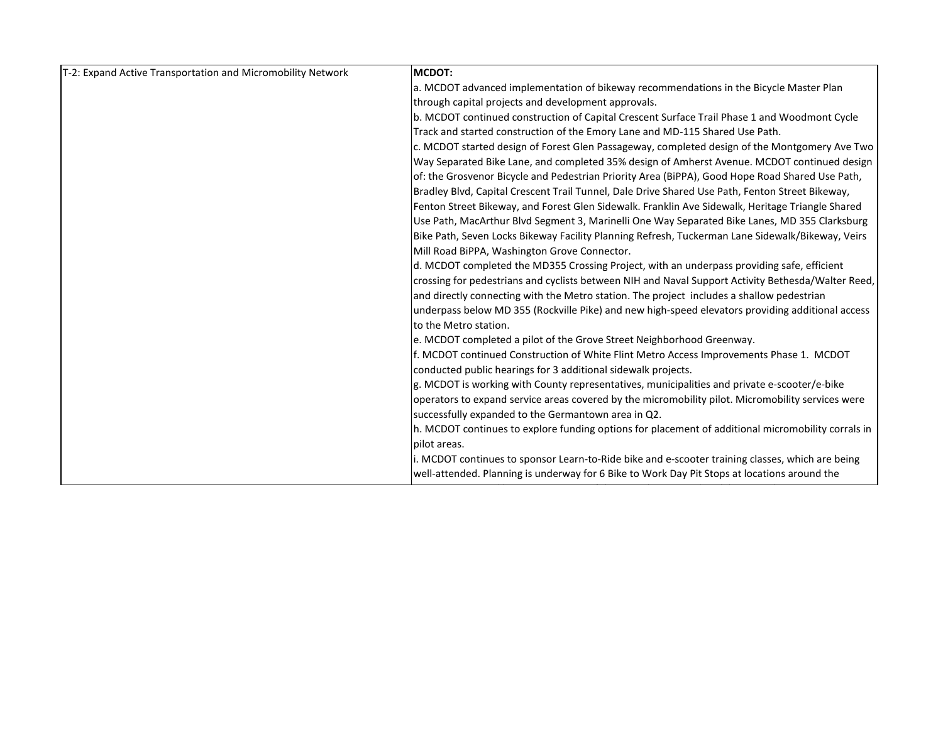| T-2: Expand Active Transportation and Micromobility Network | <b>MCDOT:</b>                                                                                      |
|-------------------------------------------------------------|----------------------------------------------------------------------------------------------------|
|                                                             | a. MCDOT advanced implementation of bikeway recommendations in the Bicycle Master Plan             |
|                                                             | through capital projects and development approvals.                                                |
|                                                             | b. MCDOT continued construction of Capital Crescent Surface Trail Phase 1 and Woodmont Cycle       |
|                                                             | Track and started construction of the Emory Lane and MD-115 Shared Use Path.                       |
|                                                             | c. MCDOT started design of Forest Glen Passageway, completed design of the Montgomery Ave Two      |
|                                                             | Way Separated Bike Lane, and completed 35% design of Amherst Avenue. MCDOT continued design        |
|                                                             | of: the Grosvenor Bicycle and Pedestrian Priority Area (BiPPA), Good Hope Road Shared Use Path,    |
|                                                             | Bradley Blvd, Capital Crescent Trail Tunnel, Dale Drive Shared Use Path, Fenton Street Bikeway,    |
|                                                             | Fenton Street Bikeway, and Forest Glen Sidewalk. Franklin Ave Sidewalk, Heritage Triangle Shared   |
|                                                             | Use Path, MacArthur Blvd Segment 3, Marinelli One Way Separated Bike Lanes, MD 355 Clarksburg      |
|                                                             | Bike Path, Seven Locks Bikeway Facility Planning Refresh, Tuckerman Lane Sidewalk/Bikeway, Veirs   |
|                                                             | Mill Road BiPPA, Washington Grove Connector.                                                       |
|                                                             | d. MCDOT completed the MD355 Crossing Project, with an underpass providing safe, efficient         |
|                                                             | crossing for pedestrians and cyclists between NIH and Naval Support Activity Bethesda/Walter Reed, |
|                                                             | and directly connecting with the Metro station. The project includes a shallow pedestrian          |
|                                                             | underpass below MD 355 (Rockville Pike) and new high-speed elevators providing additional access   |
|                                                             | to the Metro station.                                                                              |
|                                                             | e. MCDOT completed a pilot of the Grove Street Neighborhood Greenway.                              |
|                                                             | f. MCDOT continued Construction of White Flint Metro Access Improvements Phase 1. MCDOT            |
|                                                             | conducted public hearings for 3 additional sidewalk projects.                                      |
|                                                             | g. MCDOT is working with County representatives, municipalities and private e-scooter/e-bike       |
|                                                             | operators to expand service areas covered by the micromobility pilot. Micromobility services were  |
|                                                             | successfully expanded to the Germantown area in Q2.                                                |
|                                                             | h. MCDOT continues to explore funding options for placement of additional micromobility corrals in |
|                                                             | pilot areas.                                                                                       |
|                                                             | i. MCDOT continues to sponsor Learn-to-Ride bike and e-scooter training classes, which are being   |
|                                                             | well-attended. Planning is underway for 6 Bike to Work Day Pit Stops at locations around the       |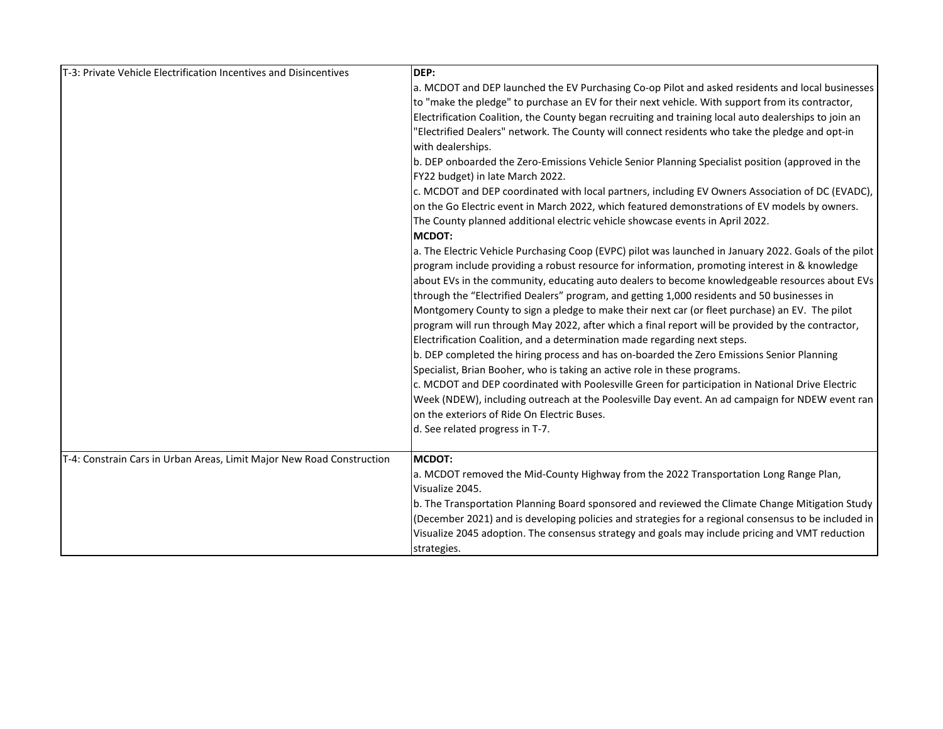| T-3: Private Vehicle Electrification Incentives and Disincentives     | DEP:<br>a. MCDOT and DEP launched the EV Purchasing Co-op Pilot and asked residents and local businesses<br>to "make the pledge" to purchase an EV for their next vehicle. With support from its contractor,<br>Electrification Coalition, the County began recruiting and training local auto dealerships to join an<br>'Electrified Dealers" network. The County will connect residents who take the pledge and opt-in                                                                                                                                                                                                                                                                                                                                                                                                                                                                                                                                                                                                                                                                                                                                        |
|-----------------------------------------------------------------------|-----------------------------------------------------------------------------------------------------------------------------------------------------------------------------------------------------------------------------------------------------------------------------------------------------------------------------------------------------------------------------------------------------------------------------------------------------------------------------------------------------------------------------------------------------------------------------------------------------------------------------------------------------------------------------------------------------------------------------------------------------------------------------------------------------------------------------------------------------------------------------------------------------------------------------------------------------------------------------------------------------------------------------------------------------------------------------------------------------------------------------------------------------------------|
|                                                                       | with dealerships.<br>b. DEP onboarded the Zero-Emissions Vehicle Senior Planning Specialist position (approved in the<br>FY22 budget) in late March 2022.<br>c. MCDOT and DEP coordinated with local partners, including EV Owners Association of DC (EVADC),<br>on the Go Electric event in March 2022, which featured demonstrations of EV models by owners.<br>The County planned additional electric vehicle showcase events in April 2022.<br><b>MCDOT:</b>                                                                                                                                                                                                                                                                                                                                                                                                                                                                                                                                                                                                                                                                                                |
|                                                                       | a. The Electric Vehicle Purchasing Coop (EVPC) pilot was launched in January 2022. Goals of the pilot<br>program include providing a robust resource for information, promoting interest in & knowledge<br>about EVs in the community, educating auto dealers to become knowledgeable resources about EVs<br>through the "Electrified Dealers" program, and getting 1,000 residents and 50 businesses in<br>Montgomery County to sign a pledge to make their next car (or fleet purchase) an EV. The pilot<br>program will run through May 2022, after which a final report will be provided by the contractor,<br>Electrification Coalition, and a determination made regarding next steps.<br>b. DEP completed the hiring process and has on-boarded the Zero Emissions Senior Planning<br>Specialist, Brian Booher, who is taking an active role in these programs.<br>c. MCDOT and DEP coordinated with Poolesville Green for participation in National Drive Electric<br>Week (NDEW), including outreach at the Poolesville Day event. An ad campaign for NDEW event ran<br>on the exteriors of Ride On Electric Buses.<br>d. See related progress in T-7. |
| T-4: Constrain Cars in Urban Areas, Limit Major New Road Construction | <b>MCDOT:</b><br>a. MCDOT removed the Mid-County Highway from the 2022 Transportation Long Range Plan,<br>Visualize 2045.<br>b. The Transportation Planning Board sponsored and reviewed the Climate Change Mitigation Study<br>(December 2021) and is developing policies and strategies for a regional consensus to be included in<br>Visualize 2045 adoption. The consensus strategy and goals may include pricing and VMT reduction<br>strategies.                                                                                                                                                                                                                                                                                                                                                                                                                                                                                                                                                                                                                                                                                                          |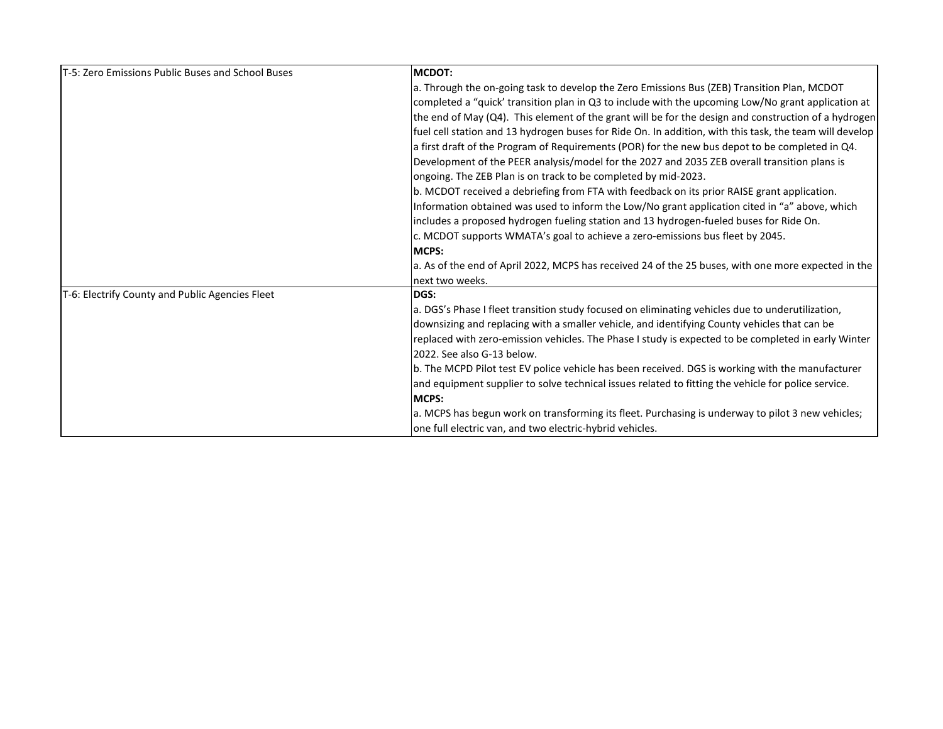| <b>IT-5: Zero Emissions Public Buses and School Buses</b> | <b>MCDOT:</b>                                                                                           |
|-----------------------------------------------------------|---------------------------------------------------------------------------------------------------------|
|                                                           | a. Through the on-going task to develop the Zero Emissions Bus (ZEB) Transition Plan, MCDOT             |
|                                                           | completed a "quick' transition plan in Q3 to include with the upcoming Low/No grant application at      |
|                                                           | the end of May (Q4). This element of the grant will be for the design and construction of a hydrogen    |
|                                                           | fuel cell station and 13 hydrogen buses for Ride On. In addition, with this task, the team will develop |
|                                                           | a first draft of the Program of Requirements (POR) for the new bus depot to be completed in Q4.         |
|                                                           | Development of the PEER analysis/model for the 2027 and 2035 ZEB overall transition plans is            |
|                                                           | ongoing. The ZEB Plan is on track to be completed by mid-2023.                                          |
|                                                           | b. MCDOT received a debriefing from FTA with feedback on its prior RAISE grant application.             |
|                                                           | Information obtained was used to inform the Low/No grant application cited in "a" above, which          |
|                                                           | includes a proposed hydrogen fueling station and 13 hydrogen-fueled buses for Ride On.                  |
|                                                           | c. MCDOT supports WMATA's goal to achieve a zero-emissions bus fleet by 2045.                           |
|                                                           | <b>MCPS:</b>                                                                                            |
|                                                           | a. As of the end of April 2022, MCPS has received 24 of the 25 buses, with one more expected in the     |
|                                                           | next two weeks.                                                                                         |
| T-6: Electrify County and Public Agencies Fleet           | DGS:                                                                                                    |
|                                                           | a. DGS's Phase I fleet transition study focused on eliminating vehicles due to underutilization,        |
|                                                           | downsizing and replacing with a smaller vehicle, and identifying County vehicles that can be            |
|                                                           | replaced with zero-emission vehicles. The Phase I study is expected to be completed in early Winter     |
|                                                           | 2022. See also G-13 below.                                                                              |
|                                                           | b. The MCPD Pilot test EV police vehicle has been received. DGS is working with the manufacturer        |
|                                                           | and equipment supplier to solve technical issues related to fitting the vehicle for police service.     |
|                                                           | <b>MCPS:</b>                                                                                            |
|                                                           | a. MCPS has begun work on transforming its fleet. Purchasing is underway to pilot 3 new vehicles;       |
|                                                           | one full electric van, and two electric-hybrid vehicles.                                                |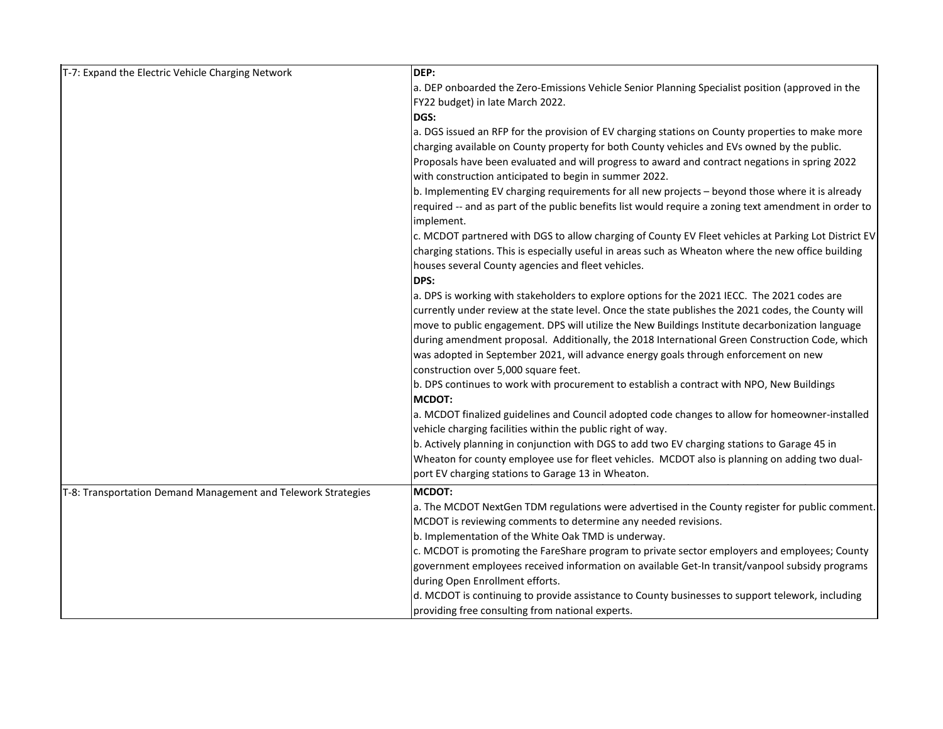| T-7: Expand the Electric Vehicle Charging Network             | DEP:                                                                                                  |
|---------------------------------------------------------------|-------------------------------------------------------------------------------------------------------|
|                                                               | a. DEP onboarded the Zero-Emissions Vehicle Senior Planning Specialist position (approved in the      |
|                                                               | FY22 budget) in late March 2022.                                                                      |
|                                                               | DGS:                                                                                                  |
|                                                               | a. DGS issued an RFP for the provision of EV charging stations on County properties to make more      |
|                                                               | charging available on County property for both County vehicles and EVs owned by the public.           |
|                                                               | Proposals have been evaluated and will progress to award and contract negations in spring 2022        |
|                                                               | with construction anticipated to begin in summer 2022.                                                |
|                                                               | b. Implementing EV charging requirements for all new projects - beyond those where it is already      |
|                                                               | required -- and as part of the public benefits list would require a zoning text amendment in order to |
|                                                               | implement.                                                                                            |
|                                                               | c. MCDOT partnered with DGS to allow charging of County EV Fleet vehicles at Parking Lot District EV  |
|                                                               | charging stations. This is especially useful in areas such as Wheaton where the new office building   |
|                                                               | houses several County agencies and fleet vehicles.                                                    |
|                                                               | DPS:                                                                                                  |
|                                                               | a. DPS is working with stakeholders to explore options for the 2021 IECC. The 2021 codes are          |
|                                                               | currently under review at the state level. Once the state publishes the 2021 codes, the County will   |
|                                                               | move to public engagement. DPS will utilize the New Buildings Institute decarbonization language      |
|                                                               | during amendment proposal. Additionally, the 2018 International Green Construction Code, which        |
|                                                               | was adopted in September 2021, will advance energy goals through enforcement on new                   |
|                                                               | construction over 5,000 square feet.                                                                  |
|                                                               | b. DPS continues to work with procurement to establish a contract with NPO, New Buildings             |
|                                                               | <b>MCDOT:</b>                                                                                         |
|                                                               | a. MCDOT finalized guidelines and Council adopted code changes to allow for homeowner-installed       |
|                                                               | vehicle charging facilities within the public right of way.                                           |
|                                                               | b. Actively planning in conjunction with DGS to add two EV charging stations to Garage 45 in          |
|                                                               | Wheaton for county employee use for fleet vehicles. MCDOT also is planning on adding two dual-        |
|                                                               | port EV charging stations to Garage 13 in Wheaton.                                                    |
| T-8: Transportation Demand Management and Telework Strategies | <b>MCDOT:</b>                                                                                         |
|                                                               | a. The MCDOT NextGen TDM regulations were advertised in the County register for public comment.       |
|                                                               | MCDOT is reviewing comments to determine any needed revisions.                                        |
|                                                               | b. Implementation of the White Oak TMD is underway.                                                   |
|                                                               | c. MCDOT is promoting the FareShare program to private sector employers and employees; County         |
|                                                               | government employees received information on available Get-In transit/vanpool subsidy programs        |
|                                                               | during Open Enrollment efforts.                                                                       |
|                                                               | d. MCDOT is continuing to provide assistance to County businesses to support telework, including      |
|                                                               | providing free consulting from national experts.                                                      |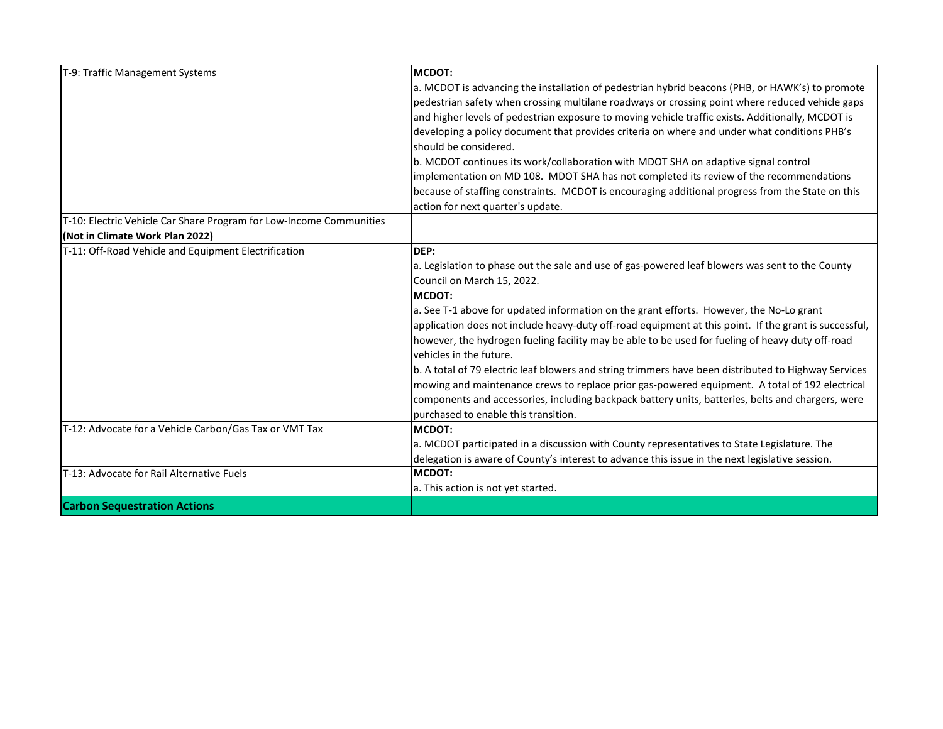| T-9: Traffic Management Systems                                     | MCDOT:                                                                                                                      |
|---------------------------------------------------------------------|-----------------------------------------------------------------------------------------------------------------------------|
|                                                                     | a. MCDOT is advancing the installation of pedestrian hybrid beacons (PHB, or HAWK's) to promote                             |
|                                                                     | pedestrian safety when crossing multilane roadways or crossing point where reduced vehicle gaps                             |
|                                                                     | and higher levels of pedestrian exposure to moving vehicle traffic exists. Additionally, MCDOT is                           |
|                                                                     | developing a policy document that provides criteria on where and under what conditions PHB's                                |
|                                                                     | should be considered.                                                                                                       |
|                                                                     | b. MCDOT continues its work/collaboration with MDOT SHA on adaptive signal control                                          |
|                                                                     | implementation on MD 108. MDOT SHA has not completed its review of the recommendations                                      |
|                                                                     | because of staffing constraints. MCDOT is encouraging additional progress from the State on this                            |
|                                                                     | action for next quarter's update.                                                                                           |
| T-10: Electric Vehicle Car Share Program for Low-Income Communities |                                                                                                                             |
| (Not in Climate Work Plan 2022)                                     |                                                                                                                             |
| T-11: Off-Road Vehicle and Equipment Electrification                | DEP:                                                                                                                        |
|                                                                     | a. Legislation to phase out the sale and use of gas-powered leaf blowers was sent to the County                             |
|                                                                     | Council on March 15, 2022.                                                                                                  |
|                                                                     | MCDOT:                                                                                                                      |
|                                                                     | a. See T-1 above for updated information on the grant efforts. However, the No-Lo grant                                     |
|                                                                     | application does not include heavy-duty off-road equipment at this point. If the grant is successful,                       |
|                                                                     | however, the hydrogen fueling facility may be able to be used for fueling of heavy duty off-road<br>vehicles in the future. |
|                                                                     | b. A total of 79 electric leaf blowers and string trimmers have been distributed to Highway Services                        |
|                                                                     | mowing and maintenance crews to replace prior gas-powered equipment. A total of 192 electrical                              |
|                                                                     | components and accessories, including backpack battery units, batteries, belts and chargers, were                           |
|                                                                     | purchased to enable this transition.                                                                                        |
| T-12: Advocate for a Vehicle Carbon/Gas Tax or VMT Tax              | <b>MCDOT:</b>                                                                                                               |
|                                                                     | a. MCDOT participated in a discussion with County representatives to State Legislature. The                                 |
|                                                                     | delegation is aware of County's interest to advance this issue in the next legislative session.                             |
| T-13: Advocate for Rail Alternative Fuels                           | MCDOT:                                                                                                                      |
|                                                                     | a. This action is not yet started.                                                                                          |
| <b>Carbon Sequestration Actions</b>                                 |                                                                                                                             |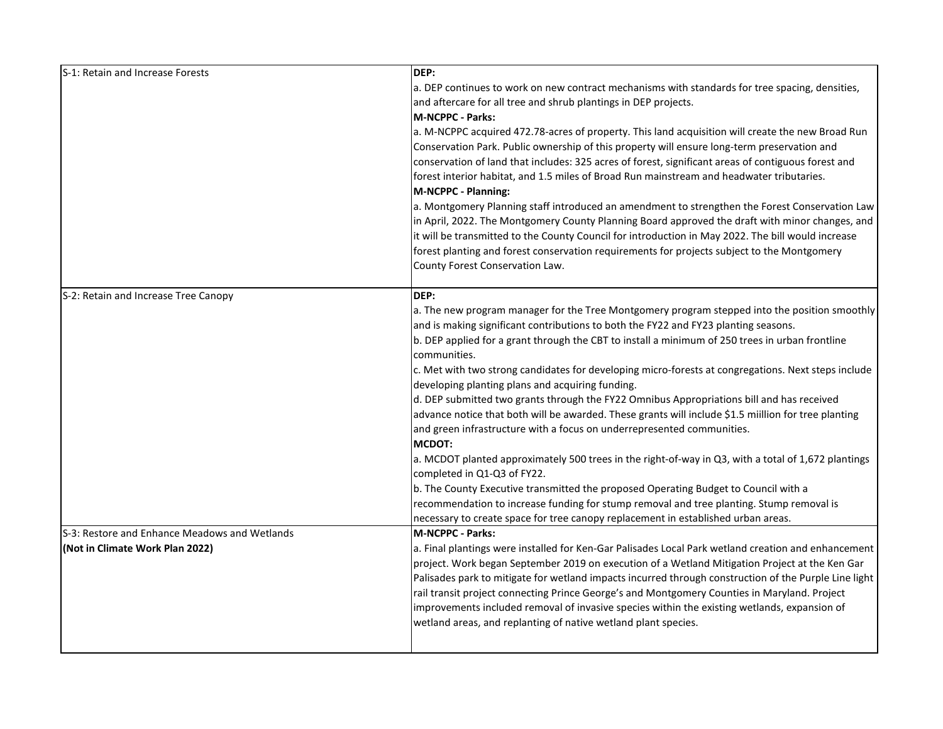| S-1: Retain and Increase Forests              | DEP:                                                                                                  |
|-----------------------------------------------|-------------------------------------------------------------------------------------------------------|
|                                               | a. DEP continues to work on new contract mechanisms with standards for tree spacing, densities,       |
|                                               | and aftercare for all tree and shrub plantings in DEP projects.                                       |
|                                               | <b>M-NCPPC - Parks:</b>                                                                               |
|                                               | a. M-NCPPC acquired 472.78-acres of property. This land acquisition will create the new Broad Run     |
|                                               | Conservation Park. Public ownership of this property will ensure long-term preservation and           |
|                                               | conservation of land that includes: 325 acres of forest, significant areas of contiguous forest and   |
|                                               | forest interior habitat, and 1.5 miles of Broad Run mainstream and headwater tributaries.             |
|                                               | M-NCPPC - Planning:                                                                                   |
|                                               | a. Montgomery Planning staff introduced an amendment to strengthen the Forest Conservation Law        |
|                                               | in April, 2022. The Montgomery County Planning Board approved the draft with minor changes, and       |
|                                               | it will be transmitted to the County Council for introduction in May 2022. The bill would increase    |
|                                               | forest planting and forest conservation requirements for projects subject to the Montgomery           |
|                                               | County Forest Conservation Law.                                                                       |
| S-2: Retain and Increase Tree Canopy          | DEP:                                                                                                  |
|                                               | a. The new program manager for the Tree Montgomery program stepped into the position smoothly         |
|                                               | and is making significant contributions to both the FY22 and FY23 planting seasons.                   |
|                                               | b. DEP applied for a grant through the CBT to install a minimum of 250 trees in urban frontline       |
|                                               | communities.                                                                                          |
|                                               | c. Met with two strong candidates for developing micro-forests at congregations. Next steps include   |
|                                               | developing planting plans and acquiring funding.                                                      |
|                                               | d. DEP submitted two grants through the FY22 Omnibus Appropriations bill and has received             |
|                                               | advance notice that both will be awarded. These grants will include \$1.5 miillion for tree planting  |
|                                               | and green infrastructure with a focus on underrepresented communities.                                |
|                                               | <b>MCDOT:</b>                                                                                         |
|                                               | a. MCDOT planted approximately 500 trees in the right-of-way in Q3, with a total of 1,672 plantings   |
|                                               | completed in Q1-Q3 of FY22.                                                                           |
|                                               | b. The County Executive transmitted the proposed Operating Budget to Council with a                   |
|                                               | recommendation to increase funding for stump removal and tree planting. Stump removal is              |
|                                               | necessary to create space for tree canopy replacement in established urban areas.                     |
| S-3: Restore and Enhance Meadows and Wetlands | <b>M-NCPPC - Parks:</b>                                                                               |
| (Not in Climate Work Plan 2022)               | a. Final plantings were installed for Ken-Gar Palisades Local Park wetland creation and enhancement   |
|                                               | project. Work began September 2019 on execution of a Wetland Mitigation Project at the Ken Gar        |
|                                               | Palisades park to mitigate for wetland impacts incurred through construction of the Purple Line light |
|                                               | rail transit project connecting Prince George's and Montgomery Counties in Maryland. Project          |
|                                               | improvements included removal of invasive species within the existing wetlands, expansion of          |
|                                               | wetland areas, and replanting of native wetland plant species.                                        |
|                                               |                                                                                                       |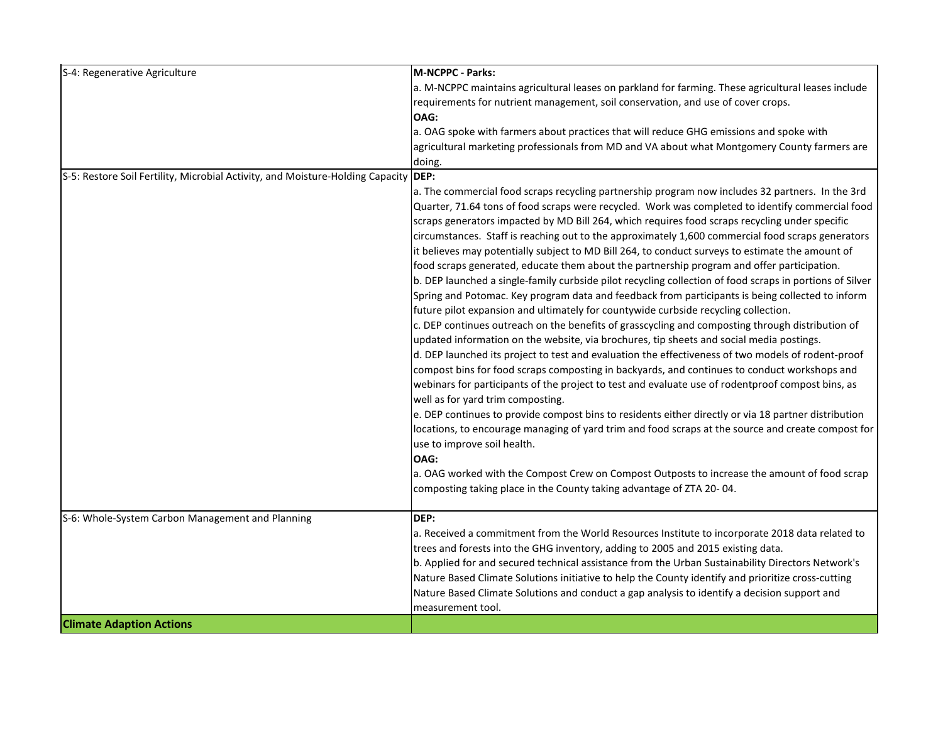| S-4: Regenerative Agriculture                                                       | <b>M-NCPPC - Parks:</b>                                                                                  |
|-------------------------------------------------------------------------------------|----------------------------------------------------------------------------------------------------------|
|                                                                                     | a. M-NCPPC maintains agricultural leases on parkland for farming. These agricultural leases include      |
|                                                                                     | requirements for nutrient management, soil conservation, and use of cover crops.                         |
|                                                                                     | OAG:                                                                                                     |
|                                                                                     | a. OAG spoke with farmers about practices that will reduce GHG emissions and spoke with                  |
|                                                                                     | agricultural marketing professionals from MD and VA about what Montgomery County farmers are             |
|                                                                                     | doing.                                                                                                   |
| S-5: Restore Soil Fertility, Microbial Activity, and Moisture-Holding Capacity DEP: |                                                                                                          |
|                                                                                     | a. The commercial food scraps recycling partnership program now includes 32 partners. In the 3rd         |
|                                                                                     | Quarter, 71.64 tons of food scraps were recycled. Work was completed to identify commercial food         |
|                                                                                     | scraps generators impacted by MD Bill 264, which requires food scraps recycling under specific           |
|                                                                                     | circumstances. Staff is reaching out to the approximately 1,600 commercial food scraps generators        |
|                                                                                     | it believes may potentially subject to MD Bill 264, to conduct surveys to estimate the amount of         |
|                                                                                     | food scraps generated, educate them about the partnership program and offer participation.               |
|                                                                                     | b. DEP launched a single-family curbside pilot recycling collection of food scraps in portions of Silver |
|                                                                                     | Spring and Potomac. Key program data and feedback from participants is being collected to inform         |
|                                                                                     | future pilot expansion and ultimately for countywide curbside recycling collection.                      |
|                                                                                     | c. DEP continues outreach on the benefits of grasscycling and composting through distribution of         |
|                                                                                     | updated information on the website, via brochures, tip sheets and social media postings.                 |
|                                                                                     | d. DEP launched its project to test and evaluation the effectiveness of two models of rodent-proof       |
|                                                                                     | compost bins for food scraps composting in backyards, and continues to conduct workshops and             |
|                                                                                     | webinars for participants of the project to test and evaluate use of rodentproof compost bins, as        |
|                                                                                     | well as for yard trim composting.                                                                        |
|                                                                                     | e. DEP continues to provide compost bins to residents either directly or via 18 partner distribution     |
|                                                                                     | locations, to encourage managing of yard trim and food scraps at the source and create compost for       |
|                                                                                     | use to improve soil health.                                                                              |
|                                                                                     | OAG:                                                                                                     |
|                                                                                     | a. OAG worked with the Compost Crew on Compost Outposts to increase the amount of food scrap             |
|                                                                                     | composting taking place in the County taking advantage of ZTA 20-04.                                     |
| S-6: Whole-System Carbon Management and Planning                                    | DEP:                                                                                                     |
|                                                                                     | a. Received a commitment from the World Resources Institute to incorporate 2018 data related to          |
|                                                                                     | trees and forests into the GHG inventory, adding to 2005 and 2015 existing data.                         |
|                                                                                     | b. Applied for and secured technical assistance from the Urban Sustainability Directors Network's        |
|                                                                                     | Nature Based Climate Solutions initiative to help the County identify and prioritize cross-cutting       |
|                                                                                     | Nature Based Climate Solutions and conduct a gap analysis to identify a decision support and             |
|                                                                                     | measurement tool.                                                                                        |
| <b>Climate Adaption Actions</b>                                                     |                                                                                                          |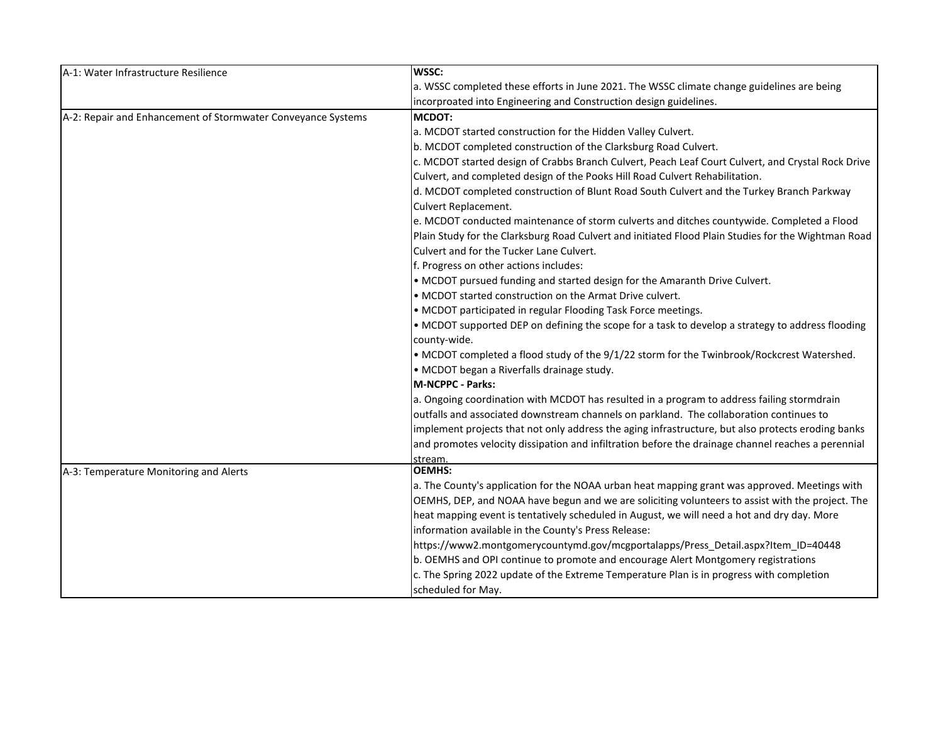| A-1: Water Infrastructure Resilience                         | <b>WSSC:</b>                                                                                        |
|--------------------------------------------------------------|-----------------------------------------------------------------------------------------------------|
|                                                              | a. WSSC completed these efforts in June 2021. The WSSC climate change guidelines are being          |
|                                                              | incorproated into Engineering and Construction design guidelines.                                   |
| A-2: Repair and Enhancement of Stormwater Conveyance Systems | <b>MCDOT:</b>                                                                                       |
|                                                              | a. MCDOT started construction for the Hidden Valley Culvert.                                        |
|                                                              | b. MCDOT completed construction of the Clarksburg Road Culvert.                                     |
|                                                              | c. MCDOT started design of Crabbs Branch Culvert, Peach Leaf Court Culvert, and Crystal Rock Drive  |
|                                                              | Culvert, and completed design of the Pooks Hill Road Culvert Rehabilitation.                        |
|                                                              | d. MCDOT completed construction of Blunt Road South Culvert and the Turkey Branch Parkway           |
|                                                              | Culvert Replacement.                                                                                |
|                                                              | e. MCDOT conducted maintenance of storm culverts and ditches countywide. Completed a Flood          |
|                                                              | Plain Study for the Clarksburg Road Culvert and initiated Flood Plain Studies for the Wightman Road |
|                                                              | Culvert and for the Tucker Lane Culvert.                                                            |
|                                                              | f. Progress on other actions includes:                                                              |
|                                                              | • MCDOT pursued funding and started design for the Amaranth Drive Culvert.                          |
|                                                              | • MCDOT started construction on the Armat Drive culvert.                                            |
|                                                              | • MCDOT participated in regular Flooding Task Force meetings.                                       |
|                                                              | • MCDOT supported DEP on defining the scope for a task to develop a strategy to address flooding    |
|                                                              | county-wide.                                                                                        |
|                                                              | • MCDOT completed a flood study of the 9/1/22 storm for the Twinbrook/Rockcrest Watershed.          |
|                                                              | • MCDOT began a Riverfalls drainage study.                                                          |
|                                                              | M-NCPPC - Parks:                                                                                    |
|                                                              | a. Ongoing coordination with MCDOT has resulted in a program to address failing stormdrain          |
|                                                              | outfalls and associated downstream channels on parkland. The collaboration continues to             |
|                                                              | implement projects that not only address the aging infrastructure, but also protects eroding banks  |
|                                                              | and promotes velocity dissipation and infiltration before the drainage channel reaches a perennial  |
|                                                              | stream.                                                                                             |
| A-3: Temperature Monitoring and Alerts                       | OEMHS:                                                                                              |
|                                                              | a. The County's application for the NOAA urban heat mapping grant was approved. Meetings with       |
|                                                              | OEMHS, DEP, and NOAA have begun and we are soliciting volunteers to assist with the project. The    |
|                                                              | heat mapping event is tentatively scheduled in August, we will need a hot and dry day. More         |
|                                                              | information available in the County's Press Release:                                                |
|                                                              | https://www2.montgomerycountymd.gov/mcgportalapps/Press_Detail.aspx?Item_ID=40448                   |
|                                                              | b. OEMHS and OPI continue to promote and encourage Alert Montgomery registrations                   |
|                                                              | c. The Spring 2022 update of the Extreme Temperature Plan is in progress with completion            |
|                                                              | scheduled for May.                                                                                  |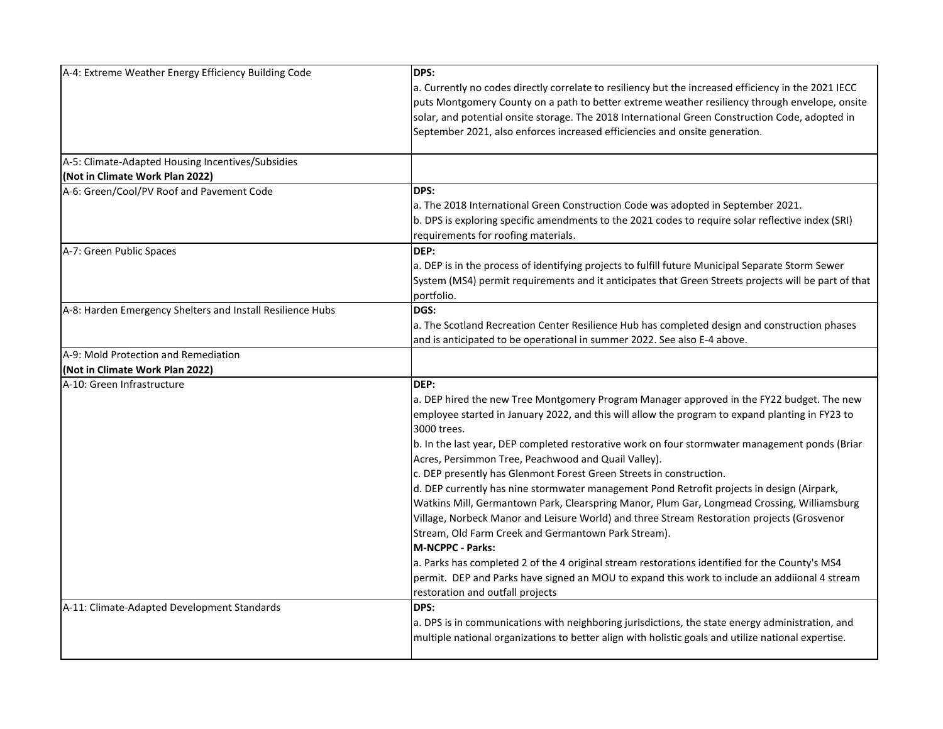| A-4: Extreme Weather Energy Efficiency Building Code                                 | DPS:<br>a. Currently no codes directly correlate to resiliency but the increased efficiency in the 2021 IECC<br>puts Montgomery County on a path to better extreme weather resiliency through envelope, onsite<br>solar, and potential onsite storage. The 2018 International Green Construction Code, adopted in<br>September 2021, also enforces increased efficiencies and onsite generation.                                                                                                                                                                                                                                                                                                                                                                                                                                                                                                                                                                                                                                                                 |
|--------------------------------------------------------------------------------------|------------------------------------------------------------------------------------------------------------------------------------------------------------------------------------------------------------------------------------------------------------------------------------------------------------------------------------------------------------------------------------------------------------------------------------------------------------------------------------------------------------------------------------------------------------------------------------------------------------------------------------------------------------------------------------------------------------------------------------------------------------------------------------------------------------------------------------------------------------------------------------------------------------------------------------------------------------------------------------------------------------------------------------------------------------------|
| A-5: Climate-Adapted Housing Incentives/Subsidies<br>(Not in Climate Work Plan 2022) |                                                                                                                                                                                                                                                                                                                                                                                                                                                                                                                                                                                                                                                                                                                                                                                                                                                                                                                                                                                                                                                                  |
| A-6: Green/Cool/PV Roof and Pavement Code                                            | DPS:<br>a. The 2018 International Green Construction Code was adopted in September 2021.<br>b. DPS is exploring specific amendments to the 2021 codes to require solar reflective index (SRI)<br>requirements for roofing materials.                                                                                                                                                                                                                                                                                                                                                                                                                                                                                                                                                                                                                                                                                                                                                                                                                             |
| A-7: Green Public Spaces                                                             | DEP:<br>a. DEP is in the process of identifying projects to fulfill future Municipal Separate Storm Sewer<br>System (MS4) permit requirements and it anticipates that Green Streets projects will be part of that<br>portfolio.                                                                                                                                                                                                                                                                                                                                                                                                                                                                                                                                                                                                                                                                                                                                                                                                                                  |
| A-8: Harden Emergency Shelters and Install Resilience Hubs                           | DGS:<br>a. The Scotland Recreation Center Resilience Hub has completed design and construction phases<br>and is anticipated to be operational in summer 2022. See also E-4 above.                                                                                                                                                                                                                                                                                                                                                                                                                                                                                                                                                                                                                                                                                                                                                                                                                                                                                |
| A-9: Mold Protection and Remediation                                                 |                                                                                                                                                                                                                                                                                                                                                                                                                                                                                                                                                                                                                                                                                                                                                                                                                                                                                                                                                                                                                                                                  |
| (Not in Climate Work Plan 2022)                                                      |                                                                                                                                                                                                                                                                                                                                                                                                                                                                                                                                                                                                                                                                                                                                                                                                                                                                                                                                                                                                                                                                  |
| A-10: Green Infrastructure                                                           | DEP:<br>a. DEP hired the new Tree Montgomery Program Manager approved in the FY22 budget. The new<br>employee started in January 2022, and this will allow the program to expand planting in FY23 to<br>3000 trees.<br>b. In the last year, DEP completed restorative work on four stormwater management ponds (Briar<br>Acres, Persimmon Tree, Peachwood and Quail Valley).<br>c. DEP presently has Glenmont Forest Green Streets in construction.<br>d. DEP currently has nine stormwater management Pond Retrofit projects in design (Airpark,<br>Watkins Mill, Germantown Park, Clearspring Manor, Plum Gar, Longmead Crossing, Williamsburg<br>Village, Norbeck Manor and Leisure World) and three Stream Restoration projects (Grosvenor<br>Stream, Old Farm Creek and Germantown Park Stream).<br>M-NCPPC - Parks:<br>a. Parks has completed 2 of the 4 original stream restorations identified for the County's MS4<br>permit. DEP and Parks have signed an MOU to expand this work to include an addiional 4 stream<br>restoration and outfall projects |
| A-11: Climate-Adapted Development Standards                                          | DPS:<br>a. DPS is in communications with neighboring jurisdictions, the state energy administration, and<br>multiple national organizations to better align with holistic goals and utilize national expertise.                                                                                                                                                                                                                                                                                                                                                                                                                                                                                                                                                                                                                                                                                                                                                                                                                                                  |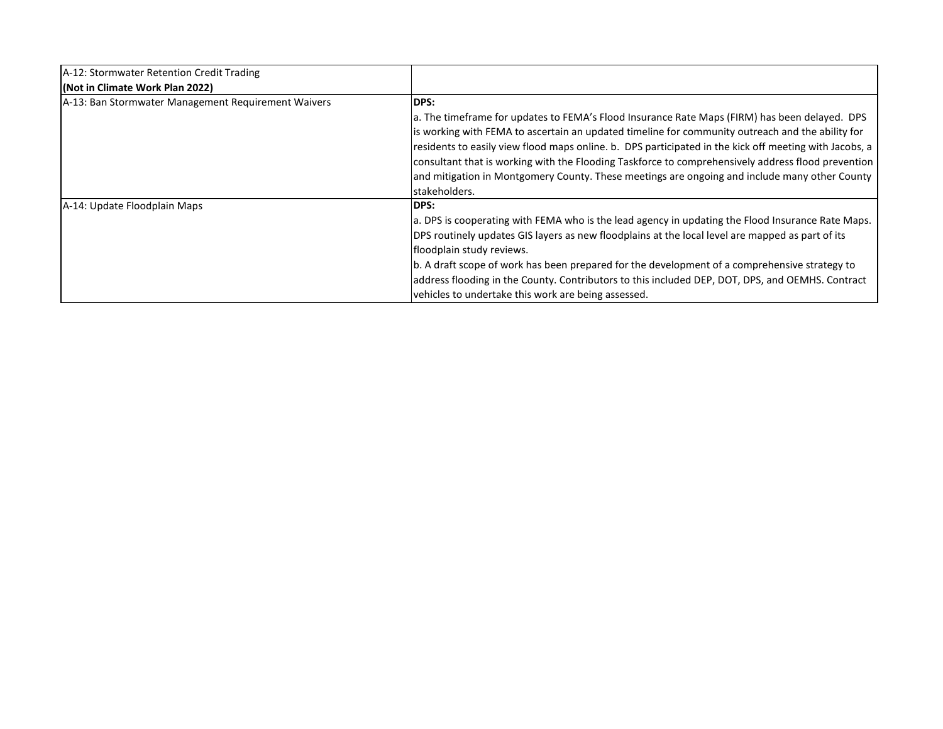| A-12: Stormwater Retention Credit Trading           |                                                                                                                                                                                                                                                                                                                                                                                                                                                                                                                                     |
|-----------------------------------------------------|-------------------------------------------------------------------------------------------------------------------------------------------------------------------------------------------------------------------------------------------------------------------------------------------------------------------------------------------------------------------------------------------------------------------------------------------------------------------------------------------------------------------------------------|
| (Not in Climate Work Plan 2022)                     |                                                                                                                                                                                                                                                                                                                                                                                                                                                                                                                                     |
| A-13: Ban Stormwater Management Requirement Waivers | <b>IDPS:</b>                                                                                                                                                                                                                                                                                                                                                                                                                                                                                                                        |
|                                                     | a. The timeframe for updates to FEMA's Flood Insurance Rate Maps (FIRM) has been delayed. DPS<br>is working with FEMA to ascertain an updated timeline for community outreach and the ability for<br>residents to easily view flood maps online. b. DPS participated in the kick off meeting with Jacobs, a<br>consultant that is working with the Flooding Taskforce to comprehensively address flood prevention<br>and mitigation in Montgomery County. These meetings are ongoing and include many other County<br>stakeholders. |
| A-14: Update Floodplain Maps                        | <b>IDPS:</b><br>a. DPS is cooperating with FEMA who is the lead agency in updating the Flood Insurance Rate Maps.<br>DPS routinely updates GIS layers as new floodplains at the local level are mapped as part of its<br>floodplain study reviews.<br>b. A draft scope of work has been prepared for the development of a comprehensive strategy to<br>address flooding in the County. Contributors to this included DEP, DOT, DPS, and OEMHS. Contract<br>vehicles to undertake this work are being assessed.                      |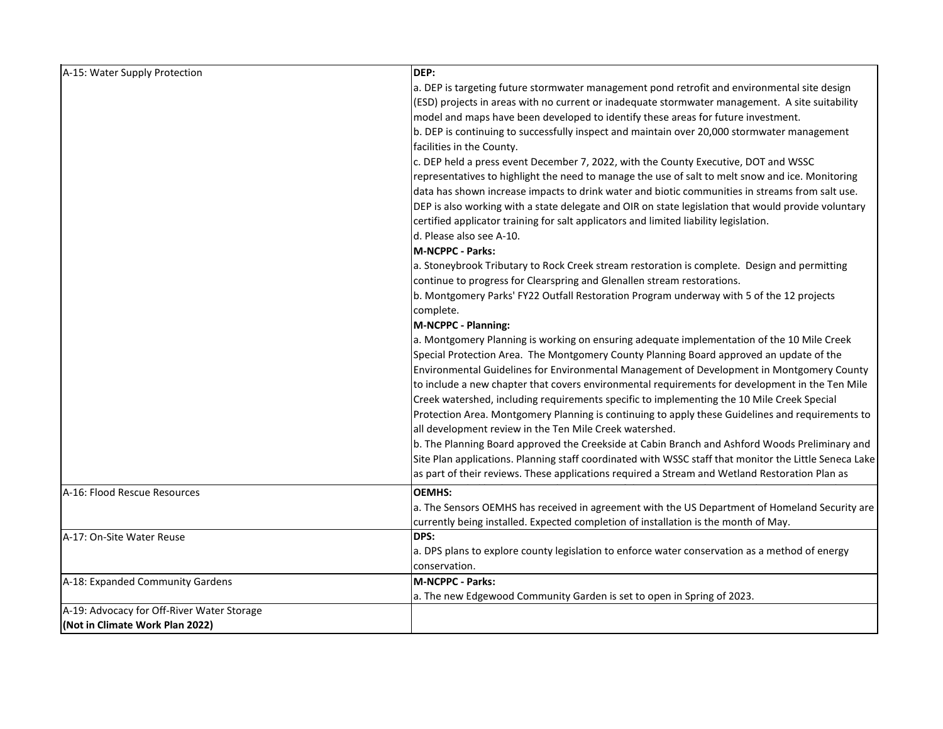| A-15: Water Supply Protection              | DEP:                                                                                                   |
|--------------------------------------------|--------------------------------------------------------------------------------------------------------|
|                                            | a. DEP is targeting future stormwater management pond retrofit and environmental site design           |
|                                            | (ESD) projects in areas with no current or inadequate stormwater management. A site suitability        |
|                                            | model and maps have been developed to identify these areas for future investment.                      |
|                                            | b. DEP is continuing to successfully inspect and maintain over 20,000 stormwater management            |
|                                            | facilities in the County.                                                                              |
|                                            | c. DEP held a press event December 7, 2022, with the County Executive, DOT and WSSC                    |
|                                            | representatives to highlight the need to manage the use of salt to melt snow and ice. Monitoring       |
|                                            | data has shown increase impacts to drink water and biotic communities in streams from salt use.        |
|                                            | DEP is also working with a state delegate and OIR on state legislation that would provide voluntary    |
|                                            | certified applicator training for salt applicators and limited liability legislation.                  |
|                                            | d. Please also see A-10.                                                                               |
|                                            | <b>M-NCPPC - Parks:</b>                                                                                |
|                                            | a. Stoneybrook Tributary to Rock Creek stream restoration is complete. Design and permitting           |
|                                            | continue to progress for Clearspring and Glenallen stream restorations.                                |
|                                            | b. Montgomery Parks' FY22 Outfall Restoration Program underway with 5 of the 12 projects               |
|                                            | complete.                                                                                              |
|                                            | M-NCPPC - Planning:                                                                                    |
|                                            | a. Montgomery Planning is working on ensuring adequate implementation of the 10 Mile Creek             |
|                                            | Special Protection Area. The Montgomery County Planning Board approved an update of the                |
|                                            | Environmental Guidelines for Environmental Management of Development in Montgomery County              |
|                                            | to include a new chapter that covers environmental requirements for development in the Ten Mile        |
|                                            | Creek watershed, including requirements specific to implementing the 10 Mile Creek Special             |
|                                            | Protection Area. Montgomery Planning is continuing to apply these Guidelines and requirements to       |
|                                            | all development review in the Ten Mile Creek watershed.                                                |
|                                            | b. The Planning Board approved the Creekside at Cabin Branch and Ashford Woods Preliminary and         |
|                                            | Site Plan applications. Planning staff coordinated with WSSC staff that monitor the Little Seneca Lake |
|                                            | as part of their reviews. These applications required a Stream and Wetland Restoration Plan as         |
| A-16: Flood Rescue Resources               | <b>OEMHS:</b>                                                                                          |
|                                            | a. The Sensors OEMHS has received in agreement with the US Department of Homeland Security are         |
|                                            | currently being installed. Expected completion of installation is the month of May.                    |
| A-17: On-Site Water Reuse                  | DPS:                                                                                                   |
|                                            | a. DPS plans to explore county legislation to enforce water conservation as a method of energy         |
|                                            | conservation.                                                                                          |
| A-18: Expanded Community Gardens           | M-NCPPC - Parks:                                                                                       |
|                                            | a. The new Edgewood Community Garden is set to open in Spring of 2023.                                 |
| A-19: Advocacy for Off-River Water Storage |                                                                                                        |
| (Not in Climate Work Plan 2022)            |                                                                                                        |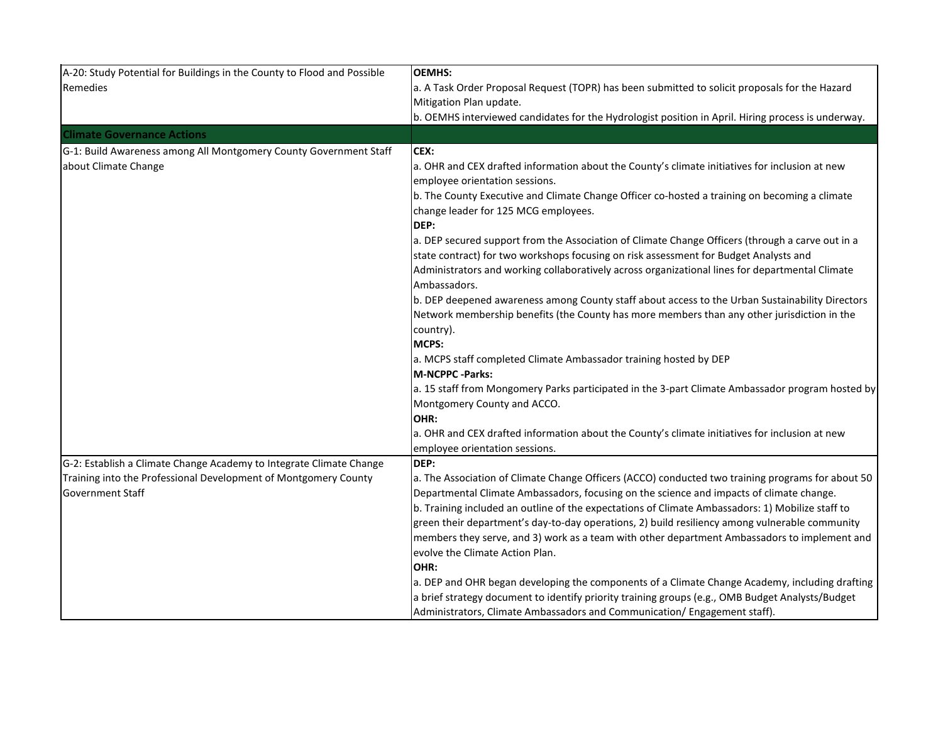| A-20: Study Potential for Buildings in the County to Flood and Possible | <b>OEMHS:</b>                                                                                      |
|-------------------------------------------------------------------------|----------------------------------------------------------------------------------------------------|
| Remedies                                                                | a. A Task Order Proposal Request (TOPR) has been submitted to solicit proposals for the Hazard     |
|                                                                         | Mitigation Plan update.                                                                            |
|                                                                         | b. OEMHS interviewed candidates for the Hydrologist position in April. Hiring process is underway. |
| <b>Climate Governance Actions</b>                                       |                                                                                                    |
| G-1: Build Awareness among All Montgomery County Government Staff       | CEX:                                                                                               |
| about Climate Change                                                    | a. OHR and CEX drafted information about the County's climate initiatives for inclusion at new     |
|                                                                         | employee orientation sessions.                                                                     |
|                                                                         | b. The County Executive and Climate Change Officer co-hosted a training on becoming a climate      |
|                                                                         | change leader for 125 MCG employees.                                                               |
|                                                                         | DEP:                                                                                               |
|                                                                         | a. DEP secured support from the Association of Climate Change Officers (through a carve out in a   |
|                                                                         | state contract) for two workshops focusing on risk assessment for Budget Analysts and              |
|                                                                         | Administrators and working collaboratively across organizational lines for departmental Climate    |
|                                                                         | Ambassadors.                                                                                       |
|                                                                         | b. DEP deepened awareness among County staff about access to the Urban Sustainability Directors    |
|                                                                         | Network membership benefits (the County has more members than any other jurisdiction in the        |
|                                                                         | country).                                                                                          |
|                                                                         | MCPS:                                                                                              |
|                                                                         | a. MCPS staff completed Climate Ambassador training hosted by DEP<br><b>M-NCPPC -Parks:</b>        |
|                                                                         | a. 15 staff from Mongomery Parks participated in the 3-part Climate Ambassador program hosted by   |
|                                                                         | Montgomery County and ACCO.                                                                        |
|                                                                         | OHR:                                                                                               |
|                                                                         | a. OHR and CEX drafted information about the County's climate initiatives for inclusion at new     |
|                                                                         | employee orientation sessions.                                                                     |
| G-2: Establish a Climate Change Academy to Integrate Climate Change     | DEP:                                                                                               |
| Training into the Professional Development of Montgomery County         | a. The Association of Climate Change Officers (ACCO) conducted two training programs for about 50  |
| <b>Government Staff</b>                                                 | Departmental Climate Ambassadors, focusing on the science and impacts of climate change.           |
|                                                                         | b. Training included an outline of the expectations of Climate Ambassadors: 1) Mobilize staff to   |
|                                                                         | green their department's day-to-day operations, 2) build resiliency among vulnerable community     |
|                                                                         | members they serve, and 3) work as a team with other department Ambassadors to implement and       |
|                                                                         | evolve the Climate Action Plan.                                                                    |
|                                                                         | OHR:                                                                                               |
|                                                                         | a. DEP and OHR began developing the components of a Climate Change Academy, including drafting     |
|                                                                         | a brief strategy document to identify priority training groups (e.g., OMB Budget Analysts/Budget   |
|                                                                         | Administrators, Climate Ambassadors and Communication/ Engagement staff).                          |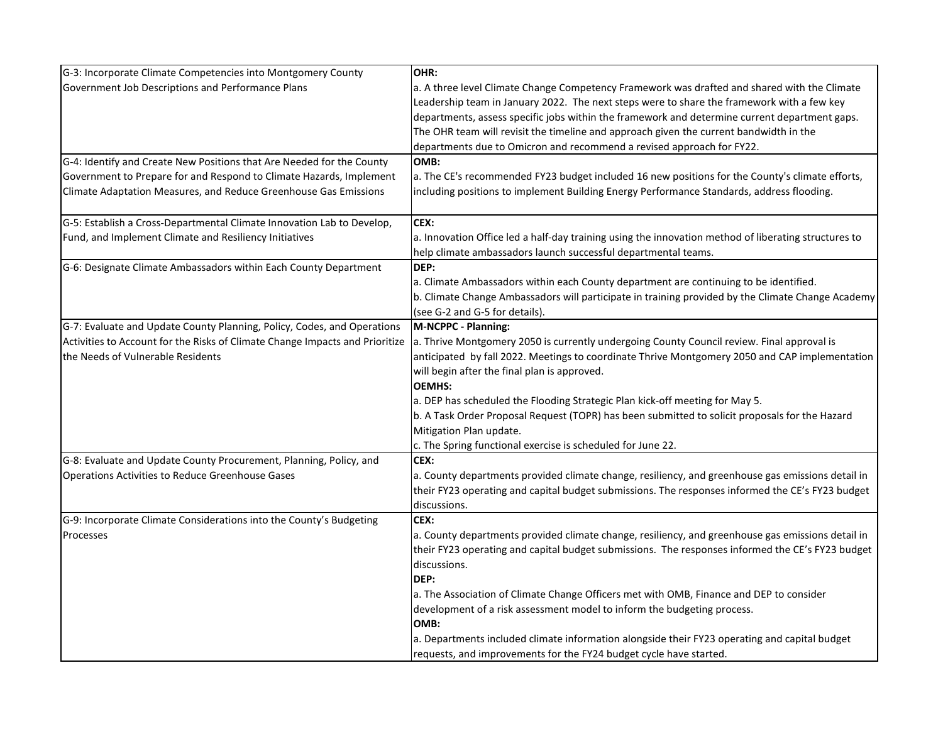| G-3: Incorporate Climate Competencies into Montgomery County                 | OHR:                                                                                                 |
|------------------------------------------------------------------------------|------------------------------------------------------------------------------------------------------|
| Government Job Descriptions and Performance Plans                            | a. A three level Climate Change Competency Framework was drafted and shared with the Climate         |
|                                                                              | Leadership team in January 2022. The next steps were to share the framework with a few key           |
|                                                                              | departments, assess specific jobs within the framework and determine current department gaps.        |
|                                                                              | The OHR team will revisit the timeline and approach given the current bandwidth in the               |
|                                                                              | departments due to Omicron and recommend a revised approach for FY22.                                |
| G-4: Identify and Create New Positions that Are Needed for the County        | OMB:                                                                                                 |
| Government to Prepare for and Respond to Climate Hazards, Implement          | a. The CE's recommended FY23 budget included 16 new positions for the County's climate efforts,      |
| Climate Adaptation Measures, and Reduce Greenhouse Gas Emissions             | including positions to implement Building Energy Performance Standards, address flooding.            |
| G-5: Establish a Cross-Departmental Climate Innovation Lab to Develop,       | CEX:                                                                                                 |
| Fund, and Implement Climate and Resiliency Initiatives                       | a. Innovation Office led a half-day training using the innovation method of liberating structures to |
|                                                                              | help climate ambassadors launch successful departmental teams.                                       |
| G-6: Designate Climate Ambassadors within Each County Department             | DEP:                                                                                                 |
|                                                                              | a. Climate Ambassadors within each County department are continuing to be identified.                |
|                                                                              | b. Climate Change Ambassadors will participate in training provided by the Climate Change Academy    |
|                                                                              | (see G-2 and G-5 for details).                                                                       |
| G-7: Evaluate and Update County Planning, Policy, Codes, and Operations      | M-NCPPC - Planning:                                                                                  |
| Activities to Account for the Risks of Climate Change Impacts and Prioritize | a. Thrive Montgomery 2050 is currently undergoing County Council review. Final approval is           |
| the Needs of Vulnerable Residents                                            | anticipated by fall 2022. Meetings to coordinate Thrive Montgomery 2050 and CAP implementation       |
|                                                                              | will begin after the final plan is approved.                                                         |
|                                                                              | <b>OEMHS:</b>                                                                                        |
|                                                                              | a. DEP has scheduled the Flooding Strategic Plan kick-off meeting for May 5.                         |
|                                                                              | b. A Task Order Proposal Request (TOPR) has been submitted to solicit proposals for the Hazard       |
|                                                                              | Mitigation Plan update.                                                                              |
|                                                                              | c. The Spring functional exercise is scheduled for June 22.                                          |
| G-8: Evaluate and Update County Procurement, Planning, Policy, and           | CEX:                                                                                                 |
| <b>Operations Activities to Reduce Greenhouse Gases</b>                      | a. County departments provided climate change, resiliency, and greenhouse gas emissions detail in    |
|                                                                              | their FY23 operating and capital budget submissions. The responses informed the CE's FY23 budget     |
|                                                                              | discussions.                                                                                         |
| G-9: Incorporate Climate Considerations into the County's Budgeting          | CEX:                                                                                                 |
| Processes                                                                    | a. County departments provided climate change, resiliency, and greenhouse gas emissions detail in    |
|                                                                              | their FY23 operating and capital budget submissions. The responses informed the CE's FY23 budget     |
|                                                                              | discussions.                                                                                         |
|                                                                              | DEP:                                                                                                 |
|                                                                              | a. The Association of Climate Change Officers met with OMB, Finance and DEP to consider              |
|                                                                              | development of a risk assessment model to inform the budgeting process.                              |
|                                                                              | OMB:                                                                                                 |
|                                                                              | a. Departments included climate information alongside their FY23 operating and capital budget        |
|                                                                              | requests, and improvements for the FY24 budget cycle have started.                                   |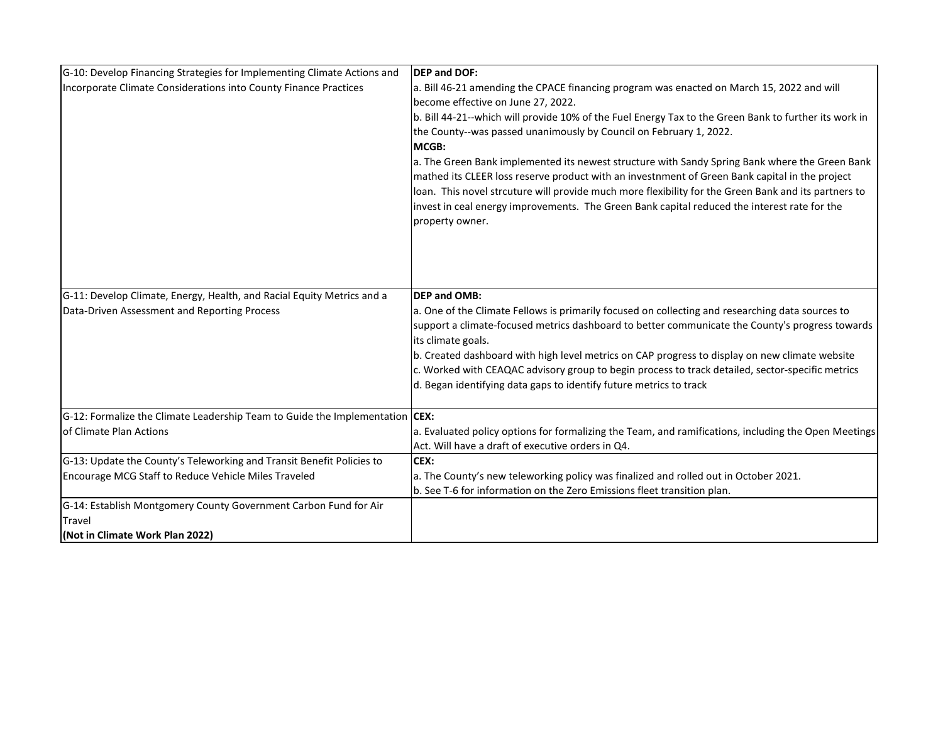| G-10: Develop Financing Strategies for Implementing Climate Actions and      | <b>DEP and DOF:</b>                                                                                                                         |
|------------------------------------------------------------------------------|---------------------------------------------------------------------------------------------------------------------------------------------|
| Incorporate Climate Considerations into County Finance Practices             | a. Bill 46-21 amending the CPACE financing program was enacted on March 15, 2022 and will                                                   |
|                                                                              | become effective on June 27, 2022.<br>b. Bill 44-21--which will provide 10% of the Fuel Energy Tax to the Green Bank to further its work in |
|                                                                              | the County--was passed unanimously by Council on February 1, 2022.                                                                          |
|                                                                              | MCGB:                                                                                                                                       |
|                                                                              | a. The Green Bank implemented its newest structure with Sandy Spring Bank where the Green Bank                                              |
|                                                                              | mathed its CLEER loss reserve product with an investnment of Green Bank capital in the project                                              |
|                                                                              | loan. This novel strcuture will provide much more flexibility for the Green Bank and its partners to                                        |
|                                                                              | invest in ceal energy improvements. The Green Bank capital reduced the interest rate for the                                                |
|                                                                              | property owner.                                                                                                                             |
|                                                                              |                                                                                                                                             |
|                                                                              |                                                                                                                                             |
|                                                                              |                                                                                                                                             |
| G-11: Develop Climate, Energy, Health, and Racial Equity Metrics and a       | <b>DEP and OMB:</b>                                                                                                                         |
| Data-Driven Assessment and Reporting Process                                 | a. One of the Climate Fellows is primarily focused on collecting and researching data sources to                                            |
|                                                                              | support a climate-focused metrics dashboard to better communicate the County's progress towards<br>its climate goals.                       |
|                                                                              | b. Created dashboard with high level metrics on CAP progress to display on new climate website                                              |
|                                                                              | c. Worked with CEAQAC advisory group to begin process to track detailed, sector-specific metrics                                            |
|                                                                              | d. Began identifying data gaps to identify future metrics to track                                                                          |
| G-12: Formalize the Climate Leadership Team to Guide the Implementation CEX: |                                                                                                                                             |
| of Climate Plan Actions                                                      | a. Evaluated policy options for formalizing the Team, and ramifications, including the Open Meetings                                        |
|                                                                              | Act. Will have a draft of executive orders in Q4.                                                                                           |
| G-13: Update the County's Teleworking and Transit Benefit Policies to        | CEX:                                                                                                                                        |
| Encourage MCG Staff to Reduce Vehicle Miles Traveled                         | a. The County's new teleworking policy was finalized and rolled out in October 2021.                                                        |
|                                                                              | b. See T-6 for information on the Zero Emissions fleet transition plan.                                                                     |
| G-14: Establish Montgomery County Government Carbon Fund for Air             |                                                                                                                                             |
| Travel                                                                       |                                                                                                                                             |
| (Not in Climate Work Plan 2022)                                              |                                                                                                                                             |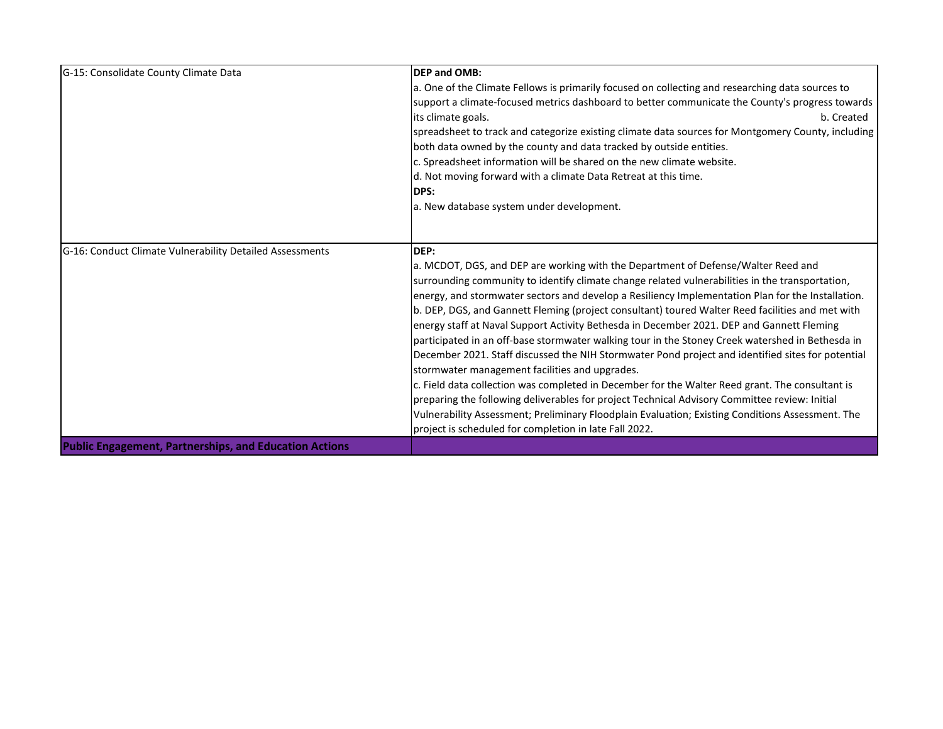| G-15: Consolidate County Climate Data                         | <b>DEP and OMB:</b>                                                                                |
|---------------------------------------------------------------|----------------------------------------------------------------------------------------------------|
|                                                               | a. One of the Climate Fellows is primarily focused on collecting and researching data sources to   |
|                                                               | support a climate-focused metrics dashboard to better communicate the County's progress towards    |
|                                                               | its climate goals.<br>b. Created                                                                   |
|                                                               | spreadsheet to track and categorize existing climate data sources for Montgomery County, including |
|                                                               | both data owned by the county and data tracked by outside entities.                                |
|                                                               | c. Spreadsheet information will be shared on the new climate website.                              |
|                                                               | d. Not moving forward with a climate Data Retreat at this time.                                    |
|                                                               | <b>IDPS:</b>                                                                                       |
|                                                               | a. New database system under development.                                                          |
|                                                               |                                                                                                    |
|                                                               |                                                                                                    |
| G-16: Conduct Climate Vulnerability Detailed Assessments      | DEP:                                                                                               |
|                                                               | a. MCDOT, DGS, and DEP are working with the Department of Defense/Walter Reed and                  |
|                                                               | surrounding community to identify climate change related vulnerabilities in the transportation,    |
|                                                               | energy, and stormwater sectors and develop a Resiliency Implementation Plan for the Installation.  |
|                                                               | b. DEP, DGS, and Gannett Fleming (project consultant) toured Walter Reed facilities and met with   |
|                                                               | energy staff at Naval Support Activity Bethesda in December 2021. DEP and Gannett Fleming          |
|                                                               | participated in an off-base stormwater walking tour in the Stoney Creek watershed in Bethesda in   |
|                                                               | December 2021. Staff discussed the NIH Stormwater Pond project and identified sites for potential  |
|                                                               | stormwater management facilities and upgrades.                                                     |
|                                                               | c. Field data collection was completed in December for the Walter Reed grant. The consultant is    |
|                                                               | preparing the following deliverables for project Technical Advisory Committee review: Initial      |
|                                                               | Vulnerability Assessment; Preliminary Floodplain Evaluation; Existing Conditions Assessment. The   |
|                                                               | project is scheduled for completion in late Fall 2022.                                             |
| <b>Public Engagement, Partnerships, and Education Actions</b> |                                                                                                    |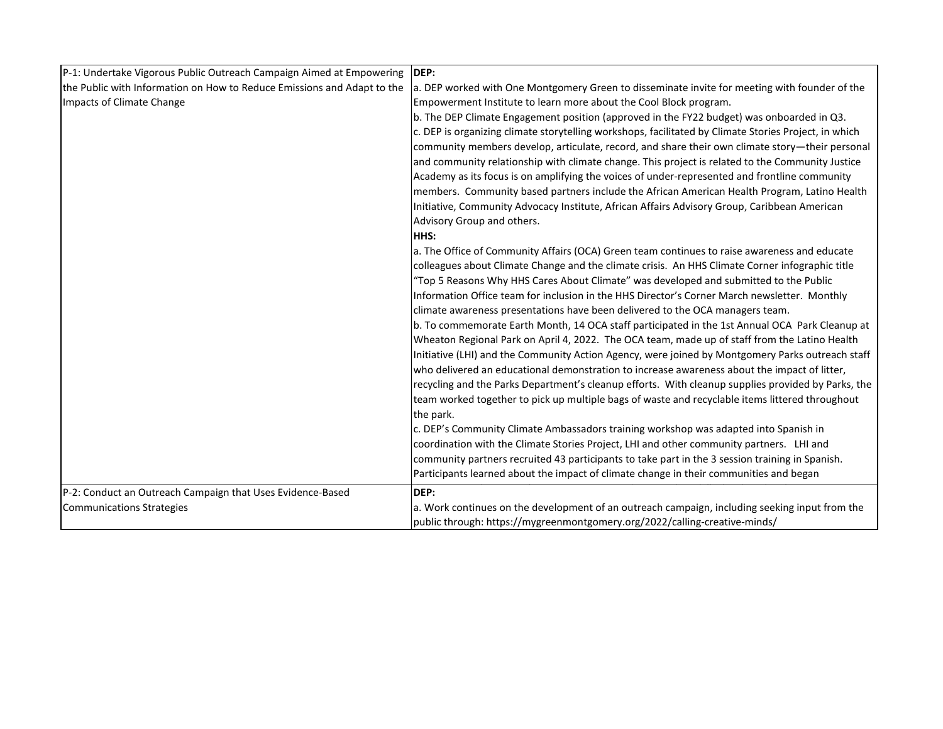| P-1: Undertake Vigorous Public Outreach Campaign Aimed at Empowering    | IDEP:                                                                                                 |
|-------------------------------------------------------------------------|-------------------------------------------------------------------------------------------------------|
| the Public with Information on How to Reduce Emissions and Adapt to the | a. DEP worked with One Montgomery Green to disseminate invite for meeting with founder of the         |
| Impacts of Climate Change                                               | Empowerment Institute to learn more about the Cool Block program.                                     |
|                                                                         | b. The DEP Climate Engagement position (approved in the FY22 budget) was onboarded in Q3.             |
|                                                                         | c. DEP is organizing climate storytelling workshops, facilitated by Climate Stories Project, in which |
|                                                                         | community members develop, articulate, record, and share their own climate story—their personal       |
|                                                                         | and community relationship with climate change. This project is related to the Community Justice      |
|                                                                         | Academy as its focus is on amplifying the voices of under-represented and frontline community         |
|                                                                         | members. Community based partners include the African American Health Program, Latino Health          |
|                                                                         | Initiative, Community Advocacy Institute, African Affairs Advisory Group, Caribbean American          |
|                                                                         | Advisory Group and others.                                                                            |
|                                                                         | <b>HHS:</b>                                                                                           |
|                                                                         | a. The Office of Community Affairs (OCA) Green team continues to raise awareness and educate          |
|                                                                         | colleagues about Climate Change and the climate crisis. An HHS Climate Corner infographic title       |
|                                                                         | "Top 5 Reasons Why HHS Cares About Climate" was developed and submitted to the Public                 |
|                                                                         | Information Office team for inclusion in the HHS Director's Corner March newsletter. Monthly          |
|                                                                         | climate awareness presentations have been delivered to the OCA managers team.                         |
|                                                                         | b. To commemorate Earth Month, 14 OCA staff participated in the 1st Annual OCA Park Cleanup at        |
|                                                                         | Wheaton Regional Park on April 4, 2022. The OCA team, made up of staff from the Latino Health         |
|                                                                         | Initiative (LHI) and the Community Action Agency, were joined by Montgomery Parks outreach staff      |
|                                                                         | who delivered an educational demonstration to increase awareness about the impact of litter,          |
|                                                                         | recycling and the Parks Department's cleanup efforts. With cleanup supplies provided by Parks, the    |
|                                                                         | team worked together to pick up multiple bags of waste and recyclable items littered throughout       |
|                                                                         | the park.                                                                                             |
|                                                                         | c. DEP's Community Climate Ambassadors training workshop was adapted into Spanish in                  |
|                                                                         | coordination with the Climate Stories Project, LHI and other community partners. LHI and              |
|                                                                         | community partners recruited 43 participants to take part in the 3 session training in Spanish.       |
|                                                                         | Participants learned about the impact of climate change in their communities and began                |
| P-2: Conduct an Outreach Campaign that Uses Evidence-Based              | DEP:                                                                                                  |
| <b>Communications Strategies</b>                                        | a. Work continues on the development of an outreach campaign, including seeking input from the        |
|                                                                         | public through: https://mygreenmontgomery.org/2022/calling-creative-minds/                            |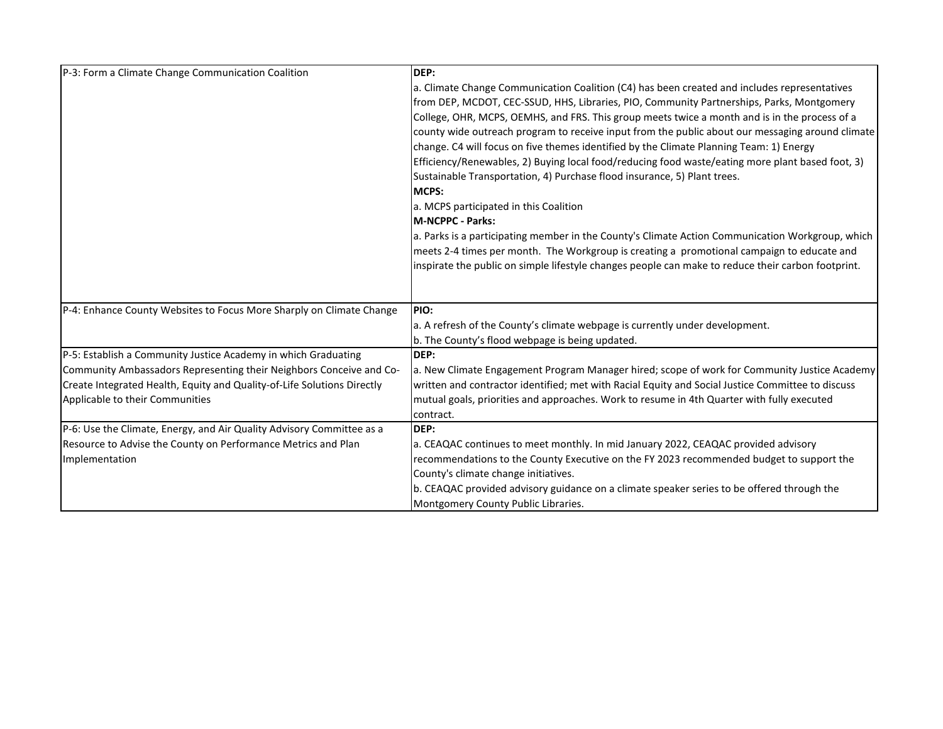| P-3: Form a Climate Change Communication Coalition                      | DEP:                                                                                               |
|-------------------------------------------------------------------------|----------------------------------------------------------------------------------------------------|
|                                                                         | a. Climate Change Communication Coalition (C4) has been created and includes representatives       |
|                                                                         | from DEP, MCDOT, CEC-SSUD, HHS, Libraries, PIO, Community Partnerships, Parks, Montgomery          |
|                                                                         | College, OHR, MCPS, OEMHS, and FRS. This group meets twice a month and is in the process of a      |
|                                                                         | county wide outreach program to receive input from the public about our messaging around climate   |
|                                                                         | change. C4 will focus on five themes identified by the Climate Planning Team: 1) Energy            |
|                                                                         | [Efficiency/Renewables, 2] Buying local food/reducing food waste/eating more plant based foot, 3)  |
|                                                                         | Sustainable Transportation, 4) Purchase flood insurance, 5) Plant trees.                           |
|                                                                         | MCPS:                                                                                              |
|                                                                         | a. MCPS participated in this Coalition                                                             |
|                                                                         | <b>M-NCPPC - Parks:</b>                                                                            |
|                                                                         | a. Parks is a participating member in the County's Climate Action Communication Workgroup, which   |
|                                                                         | meets 2-4 times per month. The Workgroup is creating a promotional campaign to educate and         |
|                                                                         | inspirate the public on simple lifestyle changes people can make to reduce their carbon footprint. |
|                                                                         |                                                                                                    |
| P-4: Enhance County Websites to Focus More Sharply on Climate Change    | <b>PIO:</b>                                                                                        |
|                                                                         | a. A refresh of the County's climate webpage is currently under development.                       |
|                                                                         | b. The County's flood webpage is being updated.                                                    |
| P-5: Establish a Community Justice Academy in which Graduating          | DEP:                                                                                               |
| Community Ambassadors Representing their Neighbors Conceive and Co-     | a. New Climate Engagement Program Manager hired; scope of work for Community Justice Academy       |
| Create Integrated Health, Equity and Quality-of-Life Solutions Directly | written and contractor identified; met with Racial Equity and Social Justice Committee to discuss  |
| Applicable to their Communities                                         | mutual goals, priorities and approaches. Work to resume in 4th Quarter with fully executed         |
|                                                                         | contract.                                                                                          |
| P-6: Use the Climate, Energy, and Air Quality Advisory Committee as a   | DEP:                                                                                               |
| Resource to Advise the County on Performance Metrics and Plan           | a. CEAQAC continues to meet monthly. In mid January 2022, CEAQAC provided advisory                 |
| Implementation                                                          | recommendations to the County Executive on the FY 2023 recommended budget to support the           |
|                                                                         | County's climate change initiatives.                                                               |
|                                                                         | b. CEAQAC provided advisory guidance on a climate speaker series to be offered through the         |
|                                                                         | Montgomery County Public Libraries.                                                                |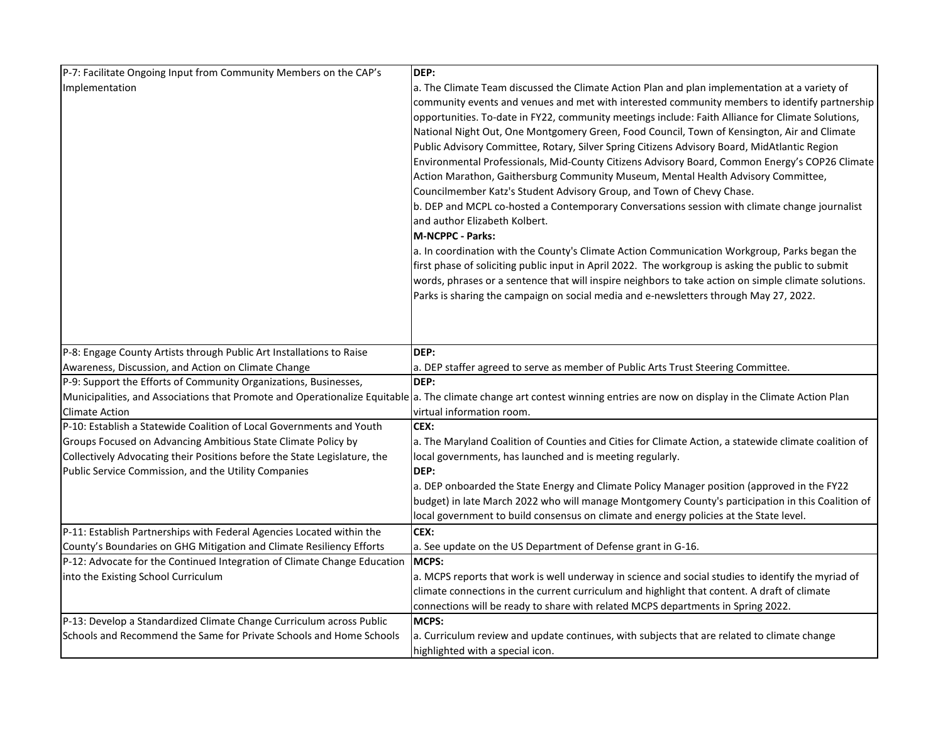| P-7: Facilitate Ongoing Input from Community Members on the CAP's         | DEP:                                                                                                                                                                                           |
|---------------------------------------------------------------------------|------------------------------------------------------------------------------------------------------------------------------------------------------------------------------------------------|
| Implementation                                                            | a. The Climate Team discussed the Climate Action Plan and plan implementation at a variety of<br>community events and venues and met with interested community members to identify partnership |
|                                                                           | opportunities. To-date in FY22, community meetings include: Faith Alliance for Climate Solutions,                                                                                              |
|                                                                           | National Night Out, One Montgomery Green, Food Council, Town of Kensington, Air and Climate                                                                                                    |
|                                                                           | Public Advisory Committee, Rotary, Silver Spring Citizens Advisory Board, MidAtlantic Region                                                                                                   |
|                                                                           | Environmental Professionals, Mid-County Citizens Advisory Board, Common Energy's COP26 Climate                                                                                                 |
|                                                                           | Action Marathon, Gaithersburg Community Museum, Mental Health Advisory Committee,                                                                                                              |
|                                                                           | Councilmember Katz's Student Advisory Group, and Town of Chevy Chase.                                                                                                                          |
|                                                                           | b. DEP and MCPL co-hosted a Contemporary Conversations session with climate change journalist                                                                                                  |
|                                                                           | and author Elizabeth Kolbert.                                                                                                                                                                  |
|                                                                           | M-NCPPC - Parks:                                                                                                                                                                               |
|                                                                           | a. In coordination with the County's Climate Action Communication Workgroup, Parks began the                                                                                                   |
|                                                                           | first phase of soliciting public input in April 2022. The workgroup is asking the public to submit                                                                                             |
|                                                                           | words, phrases or a sentence that will inspire neighbors to take action on simple climate solutions.                                                                                           |
|                                                                           | Parks is sharing the campaign on social media and e-newsletters through May 27, 2022.                                                                                                          |
|                                                                           |                                                                                                                                                                                                |
|                                                                           |                                                                                                                                                                                                |
| P-8: Engage County Artists through Public Art Installations to Raise      | DEP:                                                                                                                                                                                           |
| Awareness, Discussion, and Action on Climate Change                       | a. DEP staffer agreed to serve as member of Public Arts Trust Steering Committee.                                                                                                              |
| P-9: Support the Efforts of Community Organizations, Businesses,          | DEP:                                                                                                                                                                                           |
|                                                                           | Municipalities, and Associations that Promote and Operationalize Equitable a. The climate change art contest winning entries are now on display in the Climate Action Plan                     |
| <b>Climate Action</b>                                                     | virtual information room.                                                                                                                                                                      |
| P-10: Establish a Statewide Coalition of Local Governments and Youth      | CEX:                                                                                                                                                                                           |
| Groups Focused on Advancing Ambitious State Climate Policy by             | a. The Maryland Coalition of Counties and Cities for Climate Action, a statewide climate coalition of                                                                                          |
| Collectively Advocating their Positions before the State Legislature, the | local governments, has launched and is meeting regularly.                                                                                                                                      |
| Public Service Commission, and the Utility Companies                      | DEP:                                                                                                                                                                                           |
|                                                                           | a. DEP onboarded the State Energy and Climate Policy Manager position (approved in the FY22                                                                                                    |
|                                                                           | budget) in late March 2022 who will manage Montgomery County's participation in this Coalition of                                                                                              |
|                                                                           | local government to build consensus on climate and energy policies at the State level.                                                                                                         |
| P-11: Establish Partnerships with Federal Agencies Located within the     | CEX:                                                                                                                                                                                           |
| County's Boundaries on GHG Mitigation and Climate Resiliency Efforts      | a. See update on the US Department of Defense grant in G-16.                                                                                                                                   |
| P-12: Advocate for the Continued Integration of Climate Change Education  | MCPS:                                                                                                                                                                                          |
| into the Existing School Curriculum                                       | a. MCPS reports that work is well underway in science and social studies to identify the myriad of                                                                                             |
|                                                                           | climate connections in the current curriculum and highlight that content. A draft of climate                                                                                                   |
|                                                                           | connections will be ready to share with related MCPS departments in Spring 2022.                                                                                                               |
| P-13: Develop a Standardized Climate Change Curriculum across Public      | MCPS:                                                                                                                                                                                          |
| Schools and Recommend the Same for Private Schools and Home Schools       | a. Curriculum review and update continues, with subjects that are related to climate change                                                                                                    |
|                                                                           | highlighted with a special icon.                                                                                                                                                               |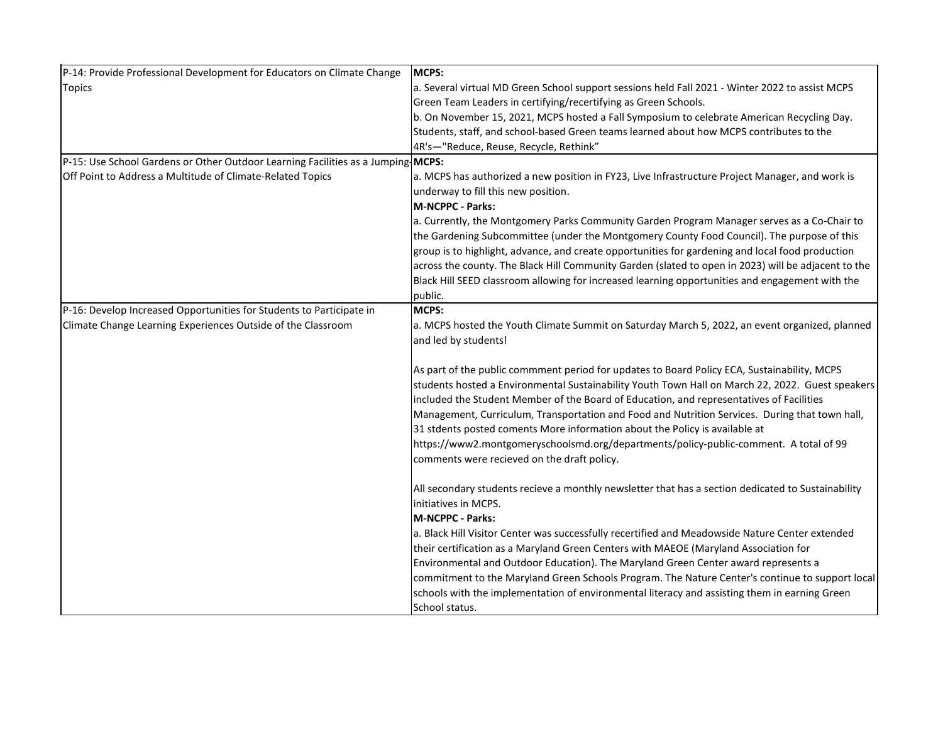| P-14: Provide Professional Development for Educators on Climate Change           | MCPS:                                                                                               |
|----------------------------------------------------------------------------------|-----------------------------------------------------------------------------------------------------|
| <b>Topics</b>                                                                    | a. Several virtual MD Green School support sessions held Fall 2021 - Winter 2022 to assist MCPS     |
|                                                                                  | Green Team Leaders in certifying/recertifying as Green Schools.                                     |
|                                                                                  | b. On November 15, 2021, MCPS hosted a Fall Symposium to celebrate American Recycling Day.          |
|                                                                                  | Students, staff, and school-based Green teams learned about how MCPS contributes to the             |
|                                                                                  | 4R's-"Reduce, Reuse, Recycle, Rethink"                                                              |
| P-15: Use School Gardens or Other Outdoor Learning Facilities as a Jumping MCPS: |                                                                                                     |
| Off Point to Address a Multitude of Climate-Related Topics                       | a. MCPS has authorized a new position in FY23, Live Infrastructure Project Manager, and work is     |
|                                                                                  | underway to fill this new position.                                                                 |
|                                                                                  | M-NCPPC - Parks:                                                                                    |
|                                                                                  | a. Currently, the Montgomery Parks Community Garden Program Manager serves as a Co-Chair to         |
|                                                                                  | the Gardening Subcommittee (under the Montgomery County Food Council). The purpose of this          |
|                                                                                  | group is to highlight, advance, and create opportunities for gardening and local food production    |
|                                                                                  | across the county. The Black Hill Community Garden (slated to open in 2023) will be adjacent to the |
|                                                                                  | Black Hill SEED classroom allowing for increased learning opportunities and engagement with the     |
|                                                                                  | public.                                                                                             |
| P-16: Develop Increased Opportunities for Students to Participate in             | MCPS:                                                                                               |
| Climate Change Learning Experiences Outside of the Classroom                     | a. MCPS hosted the Youth Climate Summit on Saturday March 5, 2022, an event organized, planned      |
|                                                                                  | and led by students!                                                                                |
|                                                                                  |                                                                                                     |
|                                                                                  | As part of the public commment period for updates to Board Policy ECA, Sustainability, MCPS         |
|                                                                                  | students hosted a Environmental Sustainability Youth Town Hall on March 22, 2022. Guest speakers    |
|                                                                                  | included the Student Member of the Board of Education, and representatives of Facilities            |
|                                                                                  | Management, Curriculum, Transportation and Food and Nutrition Services. During that town hall,      |
|                                                                                  | 31 stdents posted coments More information about the Policy is available at                         |
|                                                                                  | https://www2.montgomeryschoolsmd.org/departments/policy-public-comment. A total of 99               |
|                                                                                  | comments were recieved on the draft policy.                                                         |
|                                                                                  |                                                                                                     |
|                                                                                  | All secondary students recieve a monthly newsletter that has a section dedicated to Sustainability  |
|                                                                                  | linitiatives in MCPS.                                                                               |
|                                                                                  | <b>M-NCPPC - Parks:</b>                                                                             |
|                                                                                  | a. Black Hill Visitor Center was successfully recertified and Meadowside Nature Center extended     |
|                                                                                  | their certification as a Maryland Green Centers with MAEOE (Maryland Association for                |
|                                                                                  | Environmental and Outdoor Education). The Maryland Green Center award represents a                  |
|                                                                                  | commitment to the Maryland Green Schools Program. The Nature Center's continue to support local     |
|                                                                                  | schools with the implementation of environmental literacy and assisting them in earning Green       |
|                                                                                  | School status.                                                                                      |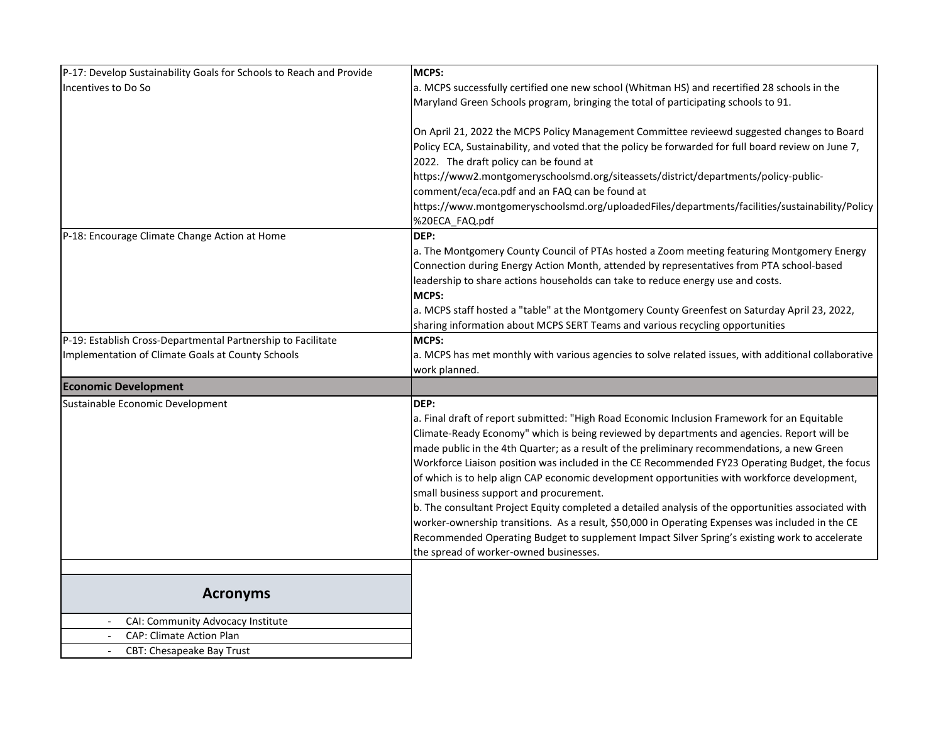| P-17: Develop Sustainability Goals for Schools to Reach and Provide | <b>MCPS:</b>                                                                                                                                                                                                                                                                              |
|---------------------------------------------------------------------|-------------------------------------------------------------------------------------------------------------------------------------------------------------------------------------------------------------------------------------------------------------------------------------------|
| Incentives to Do So                                                 | a. MCPS successfully certified one new school (Whitman HS) and recertified 28 schools in the                                                                                                                                                                                              |
|                                                                     | Maryland Green Schools program, bringing the total of participating schools to 91.                                                                                                                                                                                                        |
|                                                                     | On April 21, 2022 the MCPS Policy Management Committee revieewd suggested changes to Board<br>Policy ECA, Sustainability, and voted that the policy be forwarded for full board review on June 7,                                                                                         |
|                                                                     | 2022. The draft policy can be found at                                                                                                                                                                                                                                                    |
|                                                                     | https://www2.montgomeryschoolsmd.org/siteassets/district/departments/policy-public-                                                                                                                                                                                                       |
|                                                                     | comment/eca/eca.pdf and an FAQ can be found at<br>https://www.montgomeryschoolsmd.org/uploadedFiles/departments/facilities/sustainability/Policy                                                                                                                                          |
|                                                                     | %20ECA_FAQ.pdf                                                                                                                                                                                                                                                                            |
| P-18: Encourage Climate Change Action at Home                       | DEP:                                                                                                                                                                                                                                                                                      |
|                                                                     | a. The Montgomery County Council of PTAs hosted a Zoom meeting featuring Montgomery Energy<br>Connection during Energy Action Month, attended by representatives from PTA school-based<br>leadership to share actions households can take to reduce energy use and costs.<br><b>MCPS:</b> |
|                                                                     | a. MCPS staff hosted a "table" at the Montgomery County Greenfest on Saturday April 23, 2022,                                                                                                                                                                                             |
|                                                                     | sharing information about MCPS SERT Teams and various recycling opportunities                                                                                                                                                                                                             |
| P-19: Establish Cross-Departmental Partnership to Facilitate        | <b>MCPS:</b>                                                                                                                                                                                                                                                                              |
| Implementation of Climate Goals at County Schools                   | a. MCPS has met monthly with various agencies to solve related issues, with additional collaborative<br>work planned.                                                                                                                                                                     |
| <b>Economic Development</b>                                         |                                                                                                                                                                                                                                                                                           |
| Sustainable Economic Development                                    | DEP:                                                                                                                                                                                                                                                                                      |
|                                                                     | a. Final draft of report submitted: "High Road Economic Inclusion Framework for an Equitable                                                                                                                                                                                              |
|                                                                     | Climate-Ready Economy" which is being reviewed by departments and agencies. Report will be                                                                                                                                                                                                |
|                                                                     | made public in the 4th Quarter; as a result of the preliminary recommendations, a new Green                                                                                                                                                                                               |
|                                                                     | Workforce Liaison position was included in the CE Recommended FY23 Operating Budget, the focus                                                                                                                                                                                            |
|                                                                     | of which is to help align CAP economic development opportunities with workforce development,                                                                                                                                                                                              |
|                                                                     | small business support and procurement.                                                                                                                                                                                                                                                   |
|                                                                     | b. The consultant Project Equity completed a detailed analysis of the opportunities associated with                                                                                                                                                                                       |
|                                                                     | worker-ownership transitions. As a result, \$50,000 in Operating Expenses was included in the CE                                                                                                                                                                                          |
|                                                                     | Recommended Operating Budget to supplement Impact Silver Spring's existing work to accelerate                                                                                                                                                                                             |
|                                                                     | the spread of worker-owned businesses.                                                                                                                                                                                                                                                    |
|                                                                     |                                                                                                                                                                                                                                                                                           |
| <b>Acronyms</b>                                                     |                                                                                                                                                                                                                                                                                           |
| CAI: Community Advocacy Institute                                   |                                                                                                                                                                                                                                                                                           |
| <b>CAP: Climate Action Plan</b>                                     |                                                                                                                                                                                                                                                                                           |
| CBT: Chesapeake Bay Trust<br>$\overline{\phantom{a}}$               |                                                                                                                                                                                                                                                                                           |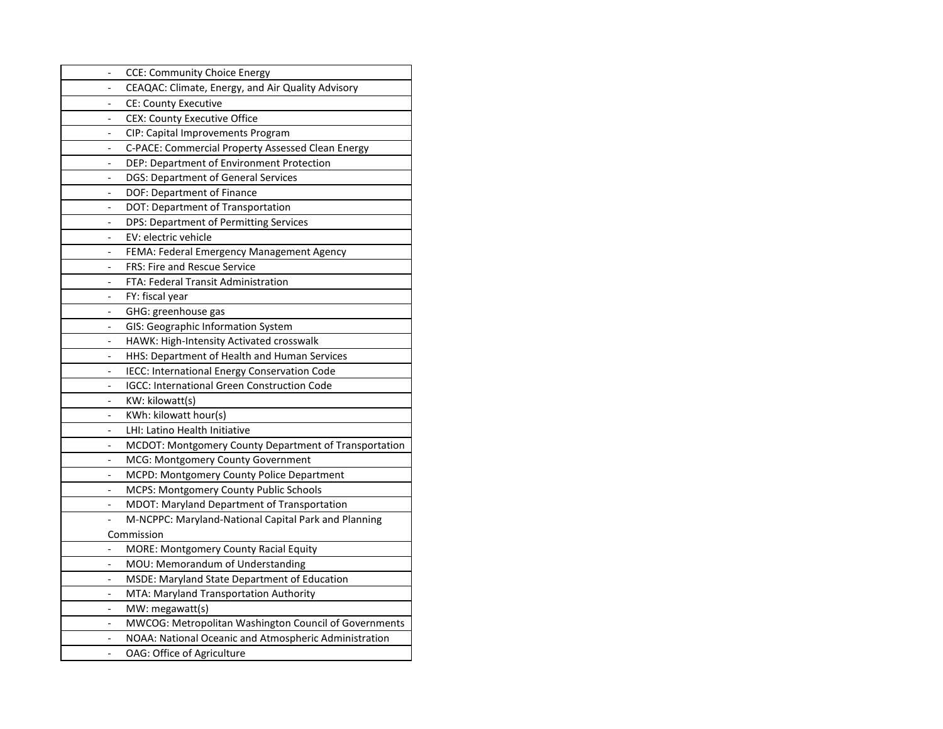|                          | <b>CCE: Community Choice Energy</b>                   |
|--------------------------|-------------------------------------------------------|
|                          | CEAQAC: Climate, Energy, and Air Quality Advisory     |
|                          | <b>CE: County Executive</b>                           |
|                          | <b>CEX: County Executive Office</b>                   |
| $\overline{a}$           | CIP: Capital Improvements Program                     |
| $\overline{\phantom{0}}$ | C-PACE: Commercial Property Assessed Clean Energy     |
|                          | DEP: Department of Environment Protection             |
|                          | DGS: Department of General Services                   |
|                          | DOF: Department of Finance                            |
|                          | DOT: Department of Transportation                     |
|                          | DPS: Department of Permitting Services                |
|                          | EV: electric vehicle                                  |
| $\overline{\phantom{0}}$ | FEMA: Federal Emergency Management Agency             |
|                          | <b>FRS: Fire and Rescue Service</b>                   |
|                          | FTA: Federal Transit Administration                   |
|                          | FY: fiscal year                                       |
|                          | GHG: greenhouse gas                                   |
|                          | GIS: Geographic Information System                    |
|                          | HAWK: High-Intensity Activated crosswalk              |
|                          | HHS: Department of Health and Human Services          |
| $\overline{\phantom{0}}$ | IECC: International Energy Conservation Code          |
|                          | <b>IGCC: International Green Construction Code</b>    |
|                          | KW: kilowatt(s)                                       |
|                          | KWh: kilowatt hour(s)                                 |
|                          | LHI: Latino Health Initiative                         |
|                          | MCDOT: Montgomery County Department of Transportation |
| $\overline{\phantom{0}}$ | MCG: Montgomery County Government                     |
|                          | MCPD: Montgomery County Police Department             |
|                          | MCPS: Montgomery County Public Schools                |
|                          | MDOT: Maryland Department of Transportation           |
|                          | M-NCPPC: Maryland-National Capital Park and Planning  |
|                          | Commission                                            |
|                          | MORE: Montgomery County Racial Equity                 |
|                          | MOU: Memorandum of Understanding                      |
| $\overline{\phantom{0}}$ | MSDE: Maryland State Department of Education          |
|                          | MTA: Maryland Transportation Authority                |
|                          | MW: megawatt(s)                                       |
|                          | MWCOG: Metropolitan Washington Council of Governments |
|                          | NOAA: National Oceanic and Atmospheric Administration |
|                          | OAG: Office of Agriculture                            |